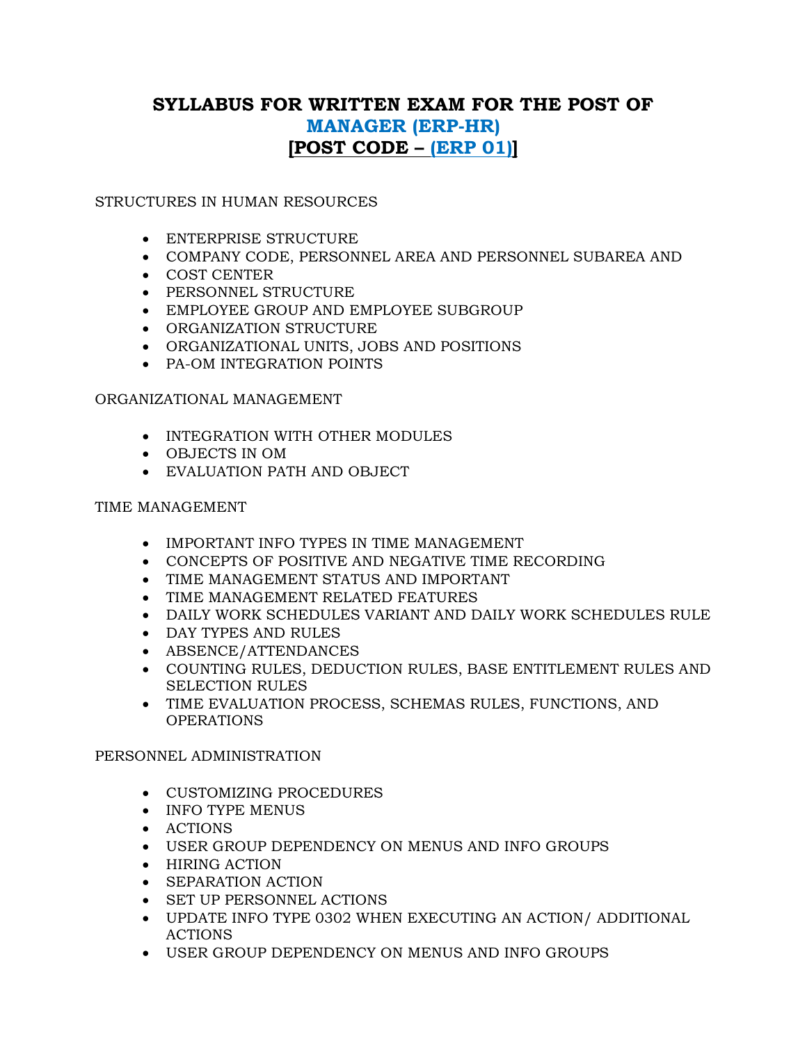# **SYLLABUS FOR WRITTEN EXAM FOR THE POST OF MANAGER (ERP-HR) [POST CODE – (ERP 01)]**

STRUCTURES IN HUMAN RESOURCES

- ENTERPRISE STRUCTURE
- COMPANY CODE, PERSONNEL AREA AND PERSONNEL SUBAREA AND
- COST CENTER
- PERSONNEL STRUCTURE
- EMPLOYEE GROUP AND EMPLOYEE SUBGROUP
- **ORGANIZATION STRUCTURE**
- ORGANIZATIONAL UNITS, JOBS AND POSITIONS
- PA-OM INTEGRATION POINTS

## ORGANIZATIONAL MANAGEMENT

- INTEGRATION WITH OTHER MODULES
- OBJECTS IN OM
- EVALUATION PATH AND OBJECT

## TIME MANAGEMENT

- IMPORTANT INFO TYPES IN TIME MANAGEMENT
- CONCEPTS OF POSITIVE AND NEGATIVE TIME RECORDING
- TIME MANAGEMENT STATUS AND IMPORTANT
- TIME MANAGEMENT RELATED FEATURES
- DAILY WORK SCHEDULES VARIANT AND DAILY WORK SCHEDULES RULE
- DAY TYPES AND RULES
- ABSENCE/ATTENDANCES
- COUNTING RULES, DEDUCTION RULES, BASE ENTITLEMENT RULES AND SELECTION RULES
- TIME EVALUATION PROCESS, SCHEMAS RULES, FUNCTIONS, AND OPERATIONS

## PERSONNEL ADMINISTRATION

- CUSTOMIZING PROCEDURES
- INFO TYPE MENUS
- ACTIONS
- USER GROUP DEPENDENCY ON MENUS AND INFO GROUPS
- HIRING ACTION
- SEPARATION ACTION
- SET UP PERSONNEL ACTIONS
- UPDATE INFO TYPE 0302 WHEN EXECUTING AN ACTION/ ADDITIONAL ACTIONS
- USER GROUP DEPENDENCY ON MENUS AND INFO GROUPS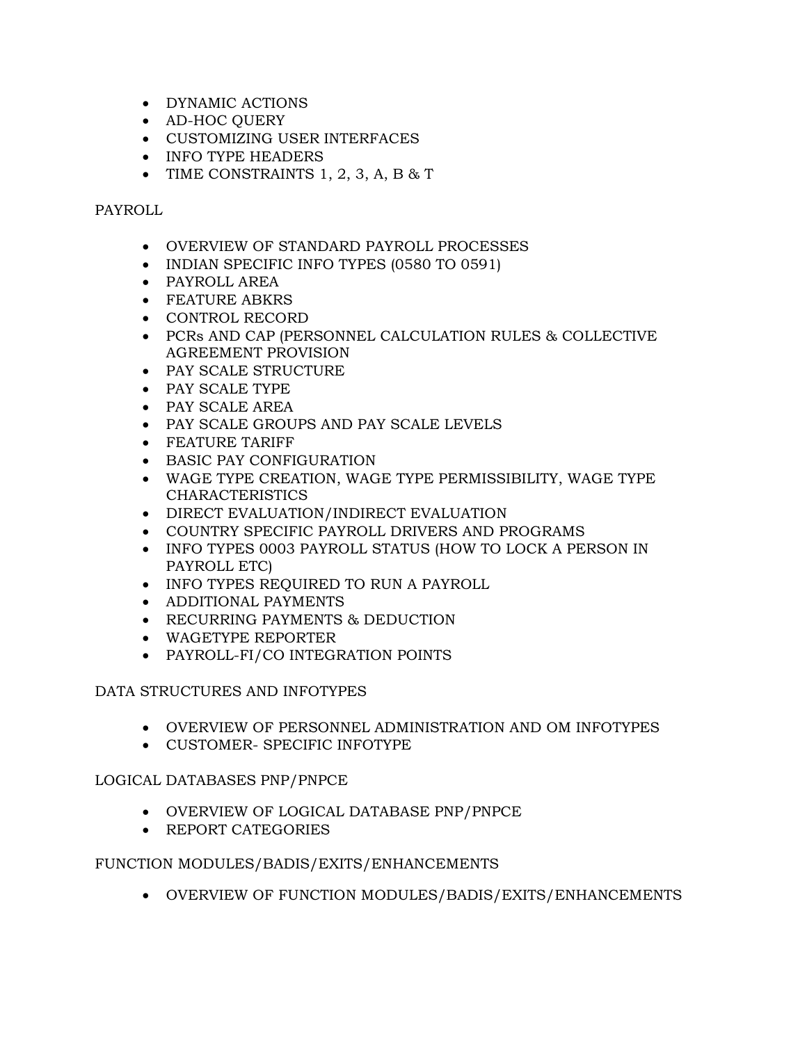- DYNAMIC ACTIONS
- AD-HOC QUERY
- CUSTOMIZING USER INTERFACES
- INFO TYPE HEADERS
- TIME CONSTRAINTS  $1, 2, 3, A, B & T$

### PAYROLL

- OVERVIEW OF STANDARD PAYROLL PROCESSES
- INDIAN SPECIFIC INFO TYPES (0580 TO 0591)
- PAYROLL AREA
- FEATURE ABKRS
- CONTROL RECORD
- PCRs AND CAP (PERSONNEL CALCULATION RULES & COLLECTIVE AGREEMENT PROVISION
- PAY SCALE STRUCTURE
- PAY SCALE TYPE
- PAY SCALE AREA
- PAY SCALE GROUPS AND PAY SCALE LEVELS
- FEATURE TARIFF
- BASIC PAY CONFIGURATION
- WAGE TYPE CREATION, WAGE TYPE PERMISSIBILITY, WAGE TYPE CHARACTERISTICS
- DIRECT EVALUATION/INDIRECT EVALUATION
- COUNTRY SPECIFIC PAYROLL DRIVERS AND PROGRAMS
- INFO TYPES 0003 PAYROLL STATUS (HOW TO LOCK A PERSON IN PAYROLL ETC)
- INFO TYPES REQUIRED TO RUN A PAYROLL
- ADDITIONAL PAYMENTS
- RECURRING PAYMENTS & DEDUCTION
- WAGETYPE REPORTER
- PAYROLL-FI/CO INTEGRATION POINTS

## DATA STRUCTURES AND INFOTYPES

- OVERVIEW OF PERSONNEL ADMINISTRATION AND OM INFOTYPES
- CUSTOMER- SPECIFIC INFOTYPE

## LOGICAL DATABASES PNP/PNPCE

- OVERVIEW OF LOGICAL DATABASE PNP/PNPCE
- REPORT CATEGORIES

## FUNCTION MODULES/BADIS/EXITS/ENHANCEMENTS

OVERVIEW OF FUNCTION MODULES/BADIS/EXITS/ENHANCEMENTS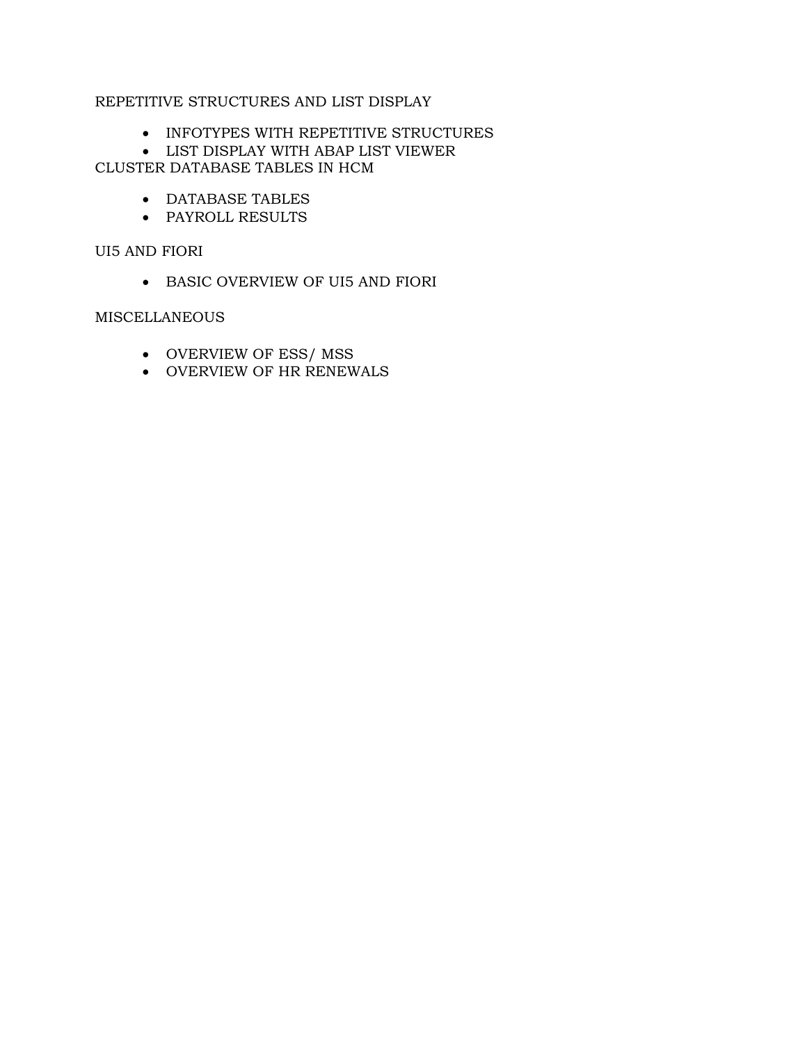## REPETITIVE STRUCTURES AND LIST DISPLAY

- INFOTYPES WITH REPETITIVE STRUCTURES
- LIST DISPLAY WITH ABAP LIST VIEWER CLUSTER DATABASE TABLES IN HCM
	- DATABASE TABLES
	- PAYROLL RESULTS

UI5 AND FIORI

BASIC OVERVIEW OF UI5 AND FIORI

### MISCELLANEOUS

- OVERVIEW OF ESS/ MSS
- OVERVIEW OF HR RENEWALS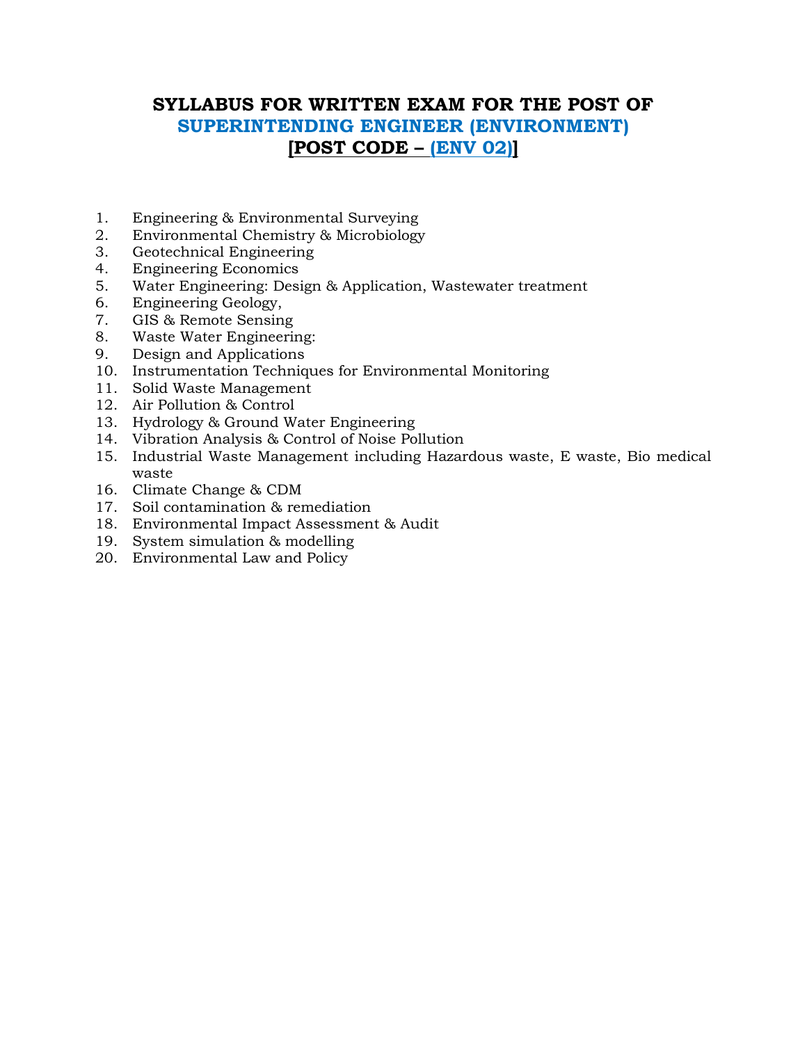# **SYLLABUS FOR WRITTEN EXAM FOR THE POST OF SUPERINTENDING ENGINEER (ENVIRONMENT) [POST CODE – (ENV 02)]**

- 1. Engineering & Environmental Surveying
- 2. Environmental Chemistry & Microbiology
- 3. Geotechnical Engineering
- 4. Engineering Economics
- 5. Water Engineering: Design & Application, Wastewater treatment
- 6. Engineering Geology,
- 7. GIS & Remote Sensing
- 8. Waste Water Engineering:
- 9. Design and Applications
- 10. Instrumentation Techniques for Environmental Monitoring
- 11. Solid Waste Management
- 12. Air Pollution & Control
- 13. Hydrology & Ground Water Engineering
- 14. Vibration Analysis & Control of Noise Pollution
- 15. Industrial Waste Management including Hazardous waste, E waste, Bio medical waste
- 16. Climate Change & CDM
- 17. Soil contamination & remediation
- 18. Environmental Impact Assessment & Audit
- 19. System simulation & modelling
- 20. Environmental Law and Policy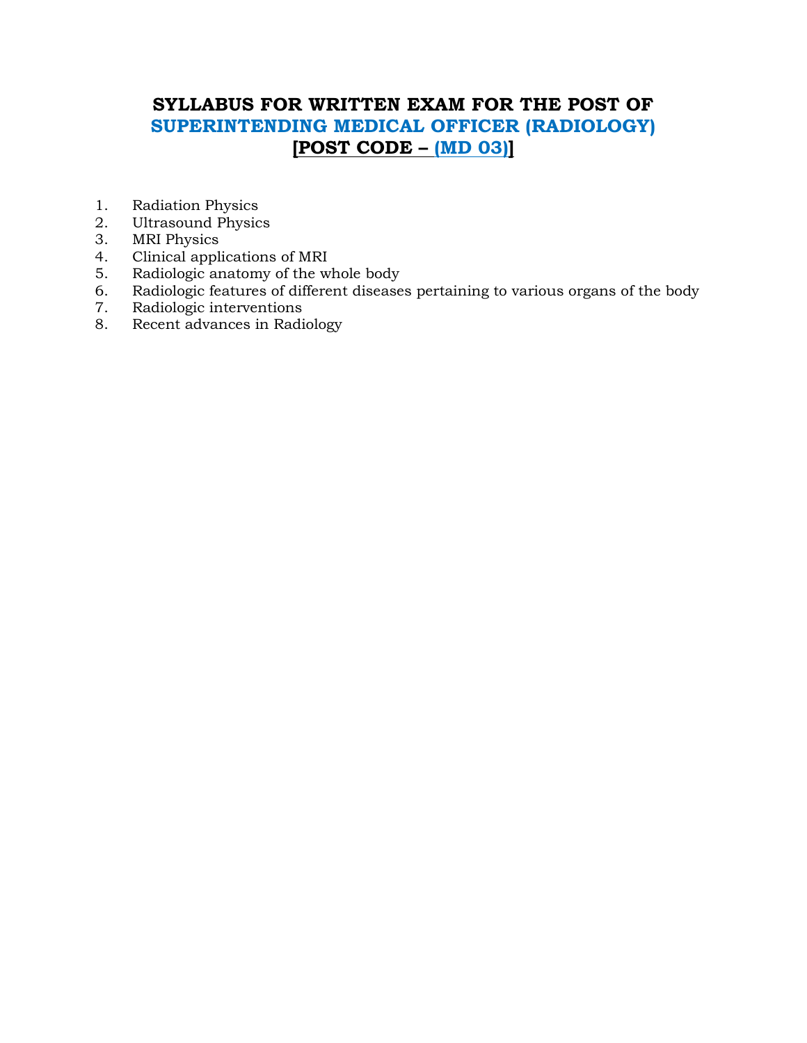# **SYLLABUS FOR WRITTEN EXAM FOR THE POST OF SUPERINTENDING MEDICAL OFFICER (RADIOLOGY) [POST CODE – (MD 03)]**

- 1. Radiation Physics
- 2. Ultrasound Physics
- 3. MRI Physics
- 4. Clinical applications of MRI
- 5. Radiologic anatomy of the whole body
- 6. Radiologic features of different diseases pertaining to various organs of the body
- 7. Radiologic interventions
- 8. Recent advances in Radiology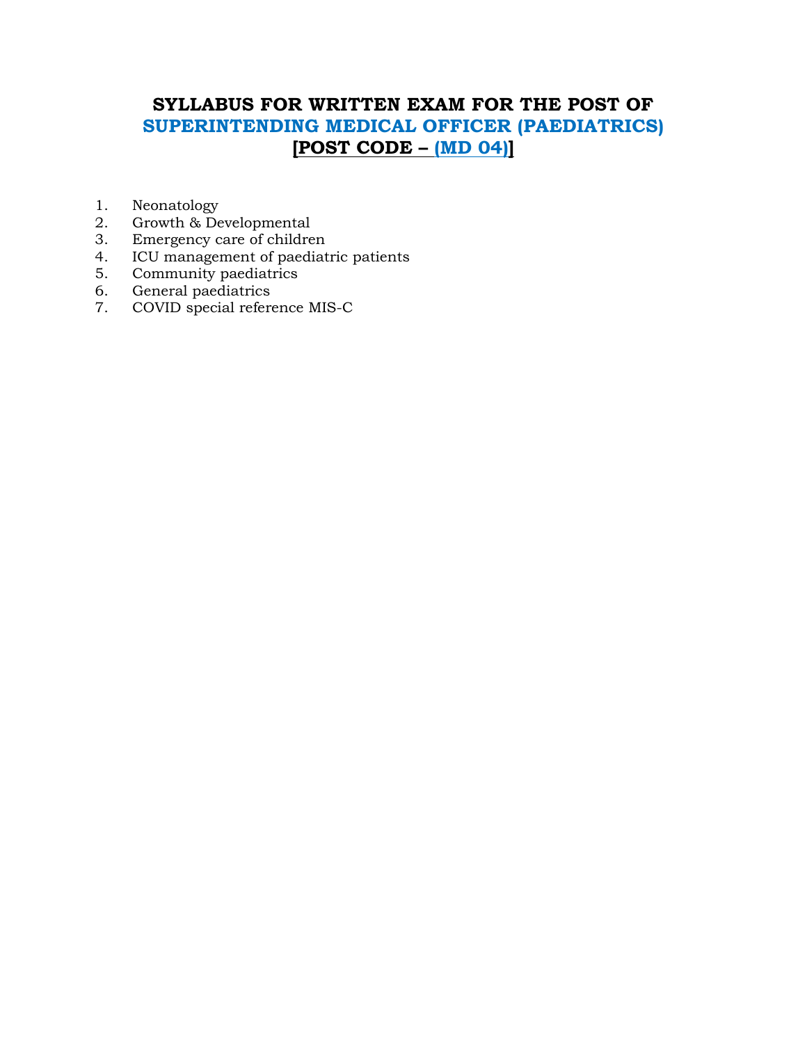# **SYLLABUS FOR WRITTEN EXAM FOR THE POST OF SUPERINTENDING MEDICAL OFFICER (PAEDIATRICS) [POST CODE – (MD 04)]**

- 1. Neonatology
- 2. Growth & Developmental
- 3. Emergency care of children
- 4. ICU management of paediatric patients
- 5. Community paediatrics
- 6. General paediatrics
- 7. COVID special reference MIS-C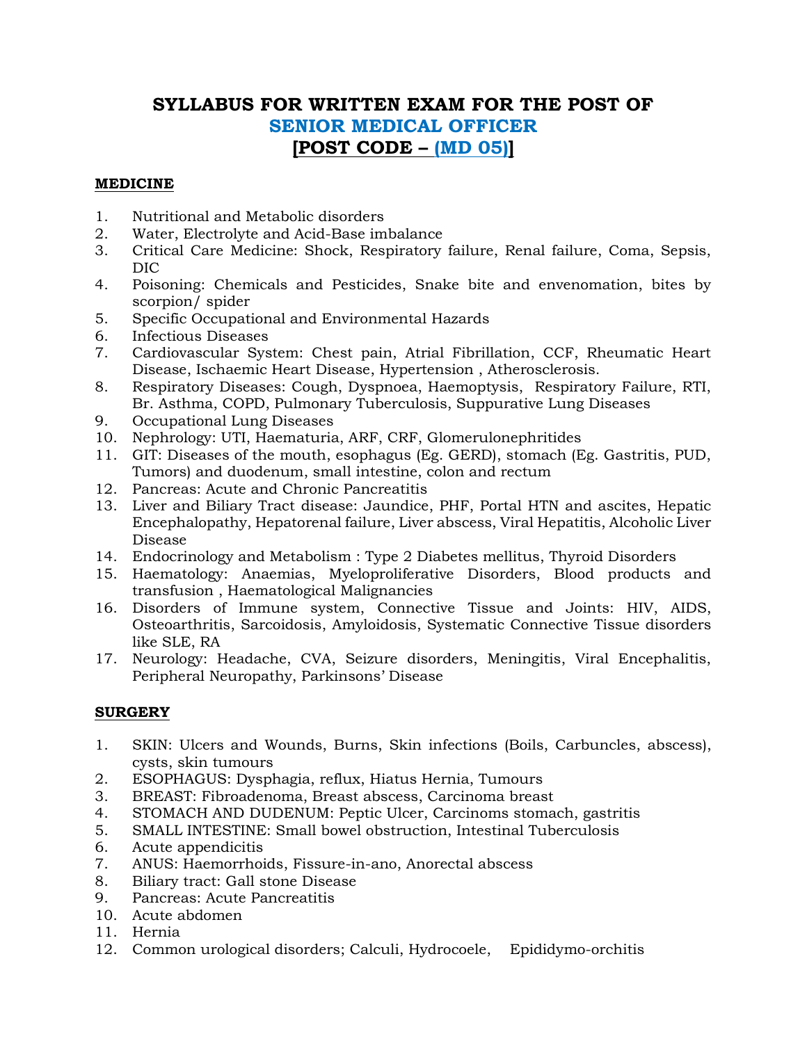## **SYLLABUS FOR WRITTEN EXAM FOR THE POST OF SENIOR MEDICAL OFFICER [POST CODE – (MD 05)]**

## **MEDICINE**

- 1. Nutritional and Metabolic disorders
- 2. Water, Electrolyte and Acid-Base imbalance
- 3. Critical Care Medicine: Shock, Respiratory failure, Renal failure, Coma, Sepsis, DIC
- 4. Poisoning: Chemicals and Pesticides, Snake bite and envenomation, bites by scorpion/ spider
- 5. Specific Occupational and Environmental Hazards
- 6. Infectious Diseases
- 7. Cardiovascular System: Chest pain, Atrial Fibrillation, CCF, Rheumatic Heart Disease, Ischaemic Heart Disease, Hypertension , Atherosclerosis.
- 8. Respiratory Diseases: Cough, Dyspnoea, Haemoptysis, Respiratory Failure, RTI, Br. Asthma, COPD, Pulmonary Tuberculosis, Suppurative Lung Diseases
- 9. Occupational Lung Diseases
- 10. Nephrology: UTI, Haematuria, ARF, CRF, Glomerulonephritides
- 11. GIT: Diseases of the mouth, esophagus (Eg. GERD), stomach (Eg. Gastritis, PUD, Tumors) and duodenum, small intestine, colon and rectum
- 12. Pancreas: Acute and Chronic Pancreatitis
- 13. Liver and Biliary Tract disease: Jaundice, PHF, Portal HTN and ascites, Hepatic Encephalopathy, Hepatorenal failure, Liver abscess, Viral Hepatitis, Alcoholic Liver Disease
- 14. Endocrinology and Metabolism : Type 2 Diabetes mellitus, Thyroid Disorders
- 15. Haematology: Anaemias, Myeloproliferative Disorders, Blood products and transfusion , Haematological Malignancies
- 16. Disorders of Immune system, Connective Tissue and Joints: HIV, AIDS, Osteoarthritis, Sarcoidosis, Amyloidosis, Systematic Connective Tissue disorders like SLE, RA
- 17. Neurology: Headache, CVA, Seizure disorders, Meningitis, Viral Encephalitis, Peripheral Neuropathy, Parkinsons' Disease

## **SURGERY**

- 1. SKIN: Ulcers and Wounds, Burns, Skin infections (Boils, Carbuncles, abscess), cysts, skin tumours
- 2. ESOPHAGUS: Dysphagia, reflux, Hiatus Hernia, Tumours
- 3. BREAST: Fibroadenoma, Breast abscess, Carcinoma breast
- 4. STOMACH AND DUDENUM: Peptic Ulcer, Carcinoms stomach, gastritis
- 5. SMALL INTESTINE: Small bowel obstruction, Intestinal Tuberculosis
- 6. Acute appendicitis
- 7. ANUS: Haemorrhoids, Fissure-in-ano, Anorectal abscess
- 8. Biliary tract: Gall stone Disease
- 9. Pancreas: Acute Pancreatitis
- 10. Acute abdomen
- 11. Hernia
- 12. Common urological disorders; Calculi, Hydrocoele, Epididymo-orchitis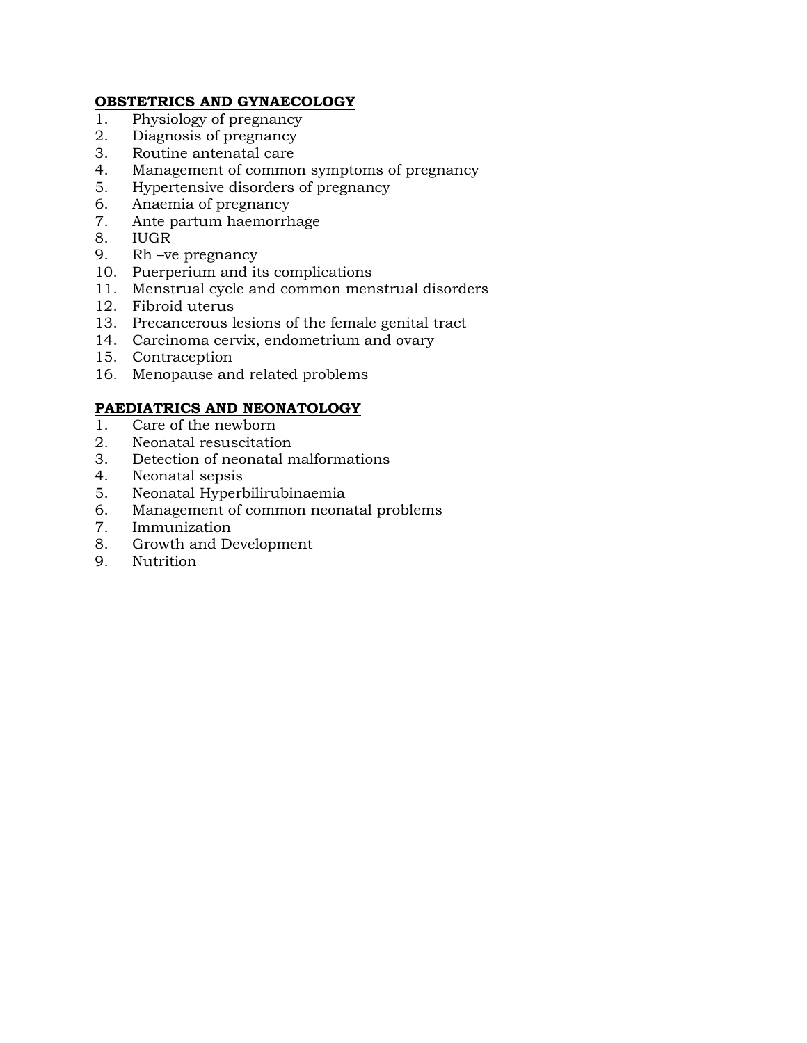## **OBSTETRICS AND GYNAECOLOGY**

- 1. Physiology of pregnancy
- 2. Diagnosis of pregnancy
- 3. Routine antenatal care
- 4. Management of common symptoms of pregnancy
- 5. Hypertensive disorders of pregnancy
- 6. Anaemia of pregnancy
- 7. Ante partum haemorrhage
- 8. IUGR
- 9. Rh –ve pregnancy
- 10. Puerperium and its complications
- 11. Menstrual cycle and common menstrual disorders
- 12. Fibroid uterus
- 13. Precancerous lesions of the female genital tract
- 14. Carcinoma cervix, endometrium and ovary
- 15. Contraception
- 16. Menopause and related problems

## **PAEDIATRICS AND NEONATOLOGY**

- 1. Care of the newborn
- 2. Neonatal resuscitation
- 3. Detection of neonatal malformations
- 4. Neonatal sepsis
- 5. Neonatal Hyperbilirubinaemia
- 6. Management of common neonatal problems
- 7. Immunization
- 8. Growth and Development
- 9. Nutrition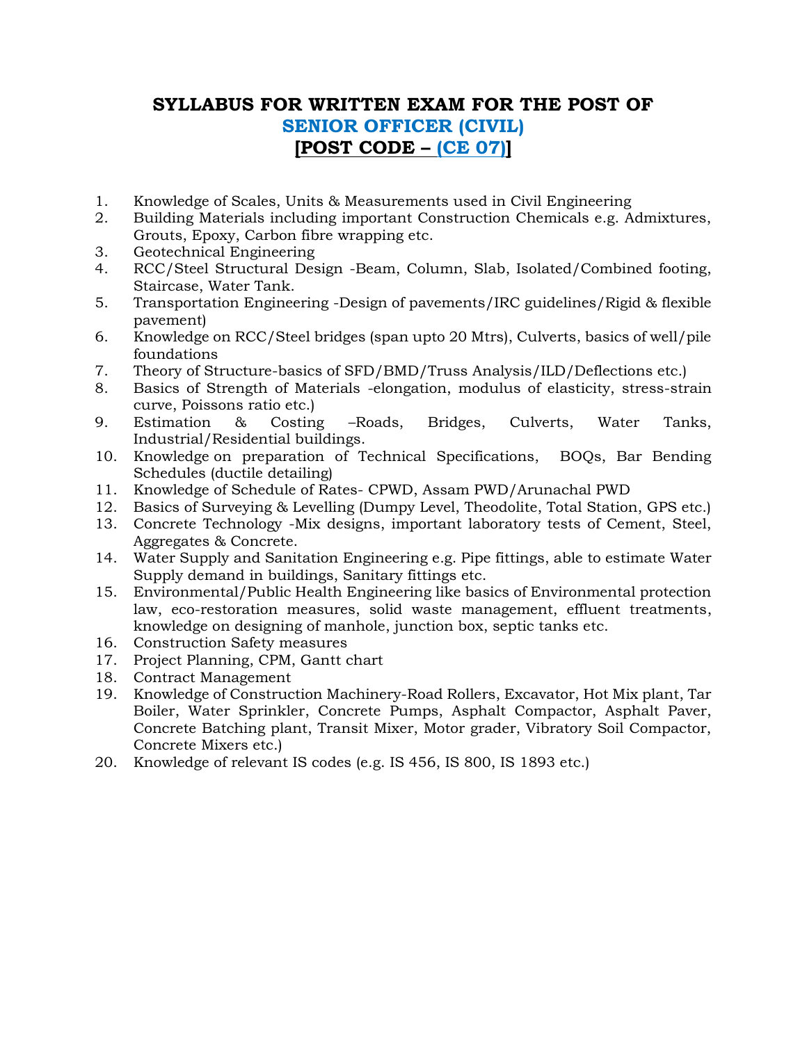# **SYLLABUS FOR WRITTEN EXAM FOR THE POST OF SENIOR OFFICER (CIVIL) [POST CODE – (CE 07)]**

- 1. Knowledge of Scales, Units & Measurements used in Civil Engineering
- 2. Building Materials including important Construction Chemicals e.g. Admixtures, Grouts, Epoxy, Carbon fibre wrapping etc.
- 3. Geotechnical Engineering
- 4. RCC/Steel Structural Design -Beam, Column, Slab, Isolated/Combined footing, Staircase, Water Tank.
- 5. Transportation Engineering -Design of pavements/IRC guidelines/Rigid & flexible pavement)
- 6. Knowledge on RCC/Steel bridges (span upto 20 Mtrs), Culverts, basics of well/pile foundations
- 7. Theory of Structure-basics of SFD/BMD/Truss Analysis/ILD/Deflections etc.)
- 8. Basics of Strength of Materials -elongation, modulus of elasticity, stress-strain curve, Poissons ratio etc.)
- 9. Estimation & Costing –Roads, Bridges, Culverts, Water Tanks, Industrial/Residential buildings.
- 10. Knowledge on preparation of Technical Specifications, BOQs, Bar Bending Schedules (ductile detailing)
- 11. Knowledge of Schedule of Rates- CPWD, Assam PWD/Arunachal PWD
- 12. Basics of Surveying & Levelling (Dumpy Level, Theodolite, Total Station, GPS etc.)
- 13. Concrete Technology -Mix designs, important laboratory tests of Cement, Steel, Aggregates & Concrete.
- 14. Water Supply and Sanitation Engineering e.g. Pipe fittings, able to estimate Water Supply demand in buildings, Sanitary fittings etc.
- 15. Environmental/Public Health Engineering like basics of Environmental protection law, eco-restoration measures, solid waste management, effluent treatments, knowledge on designing of manhole, junction box, septic tanks etc.
- 16. Construction Safety measures
- 17. Project Planning, CPM, Gantt chart
- 18. Contract Management
- 19. Knowledge of Construction Machinery-Road Rollers, Excavator, Hot Mix plant, Tar Boiler, Water Sprinkler, Concrete Pumps, Asphalt Compactor, Asphalt Paver, Concrete Batching plant, Transit Mixer, Motor grader, Vibratory Soil Compactor, Concrete Mixers etc.)
- 20. Knowledge of relevant IS codes (e.g. IS 456, IS 800, IS 1893 etc.)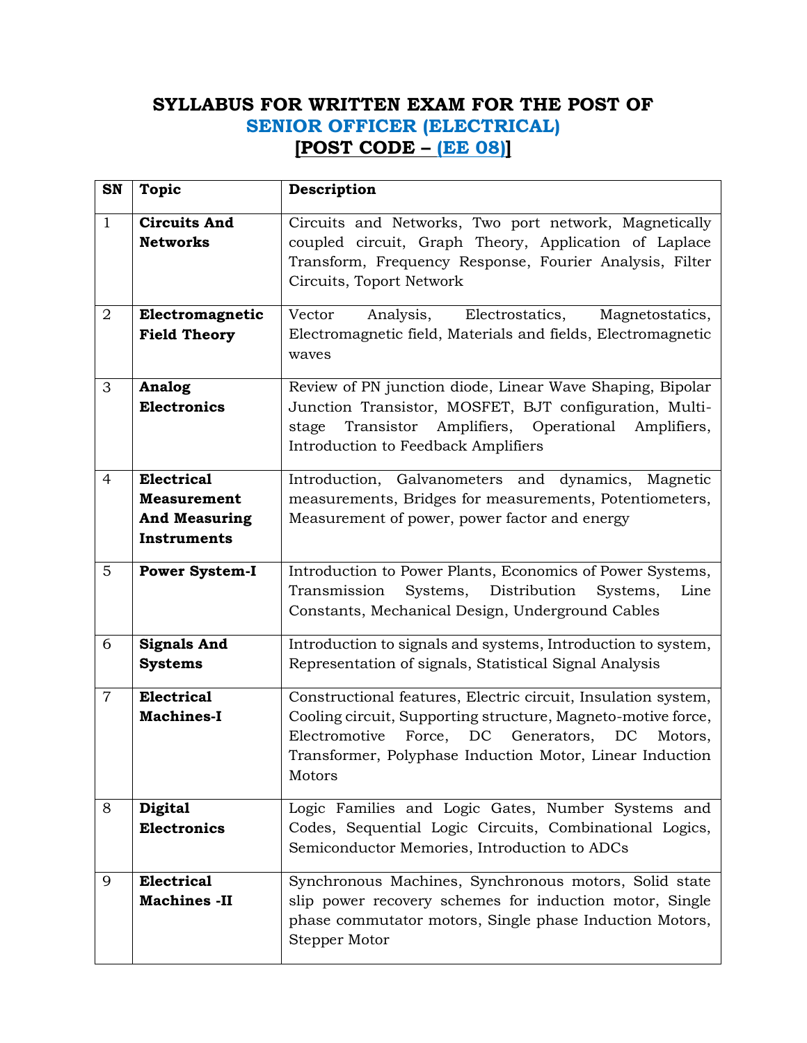# **SYLLABUS FOR WRITTEN EXAM FOR THE POST OF SENIOR OFFICER (ELECTRICAL) [POST CODE – (EE 08)]**

| SN             | <b>Topic</b>                                                                          | Description                                                                                                                                                                                                                                           |
|----------------|---------------------------------------------------------------------------------------|-------------------------------------------------------------------------------------------------------------------------------------------------------------------------------------------------------------------------------------------------------|
| $\mathbf{1}$   | <b>Circuits And</b><br><b>Networks</b>                                                | Circuits and Networks, Two port network, Magnetically<br>coupled circuit, Graph Theory, Application of Laplace<br>Transform, Frequency Response, Fourier Analysis, Filter<br>Circuits, Toport Network                                                 |
| $\overline{2}$ | Electromagnetic<br><b>Field Theory</b>                                                | Vector<br>Analysis,<br>Electrostatics,<br>Magnetostatics,<br>Electromagnetic field, Materials and fields, Electromagnetic<br>waves                                                                                                                    |
| 3              | <b>Analog</b><br><b>Electronics</b>                                                   | Review of PN junction diode, Linear Wave Shaping, Bipolar<br>Junction Transistor, MOSFET, BJT configuration, Multi-<br>Transistor<br>Amplifiers, Operational Amplifiers,<br>stage<br>Introduction to Feedback Amplifiers                              |
| $\overline{4}$ | <b>Electrical</b><br><b>Measurement</b><br><b>And Measuring</b><br><b>Instruments</b> | Introduction, Galvanometers and dynamics, Magnetic<br>measurements, Bridges for measurements, Potentiometers,<br>Measurement of power, power factor and energy                                                                                        |
| 5              | <b>Power System-I</b>                                                                 | Introduction to Power Plants, Economics of Power Systems,<br>Transmission<br>Systems, Distribution<br>Systems,<br>Line<br>Constants, Mechanical Design, Underground Cables                                                                            |
| 6              | <b>Signals And</b><br><b>Systems</b>                                                  | Introduction to signals and systems, Introduction to system,<br>Representation of signals, Statistical Signal Analysis                                                                                                                                |
| $\overline{7}$ | <b>Electrical</b><br><b>Machines-I</b>                                                | Constructional features, Electric circuit, Insulation system,<br>Cooling circuit, Supporting structure, Magneto-motive force,<br>Electromotive Force, DC Generators, DC Motors,<br>Transformer, Polyphase Induction Motor, Linear Induction<br>Motors |
| 8              | <b>Digital</b><br><b>Electronics</b>                                                  | Logic Families and Logic Gates, Number Systems and<br>Codes, Sequential Logic Circuits, Combinational Logics,<br>Semiconductor Memories, Introduction to ADCs                                                                                         |
| 9              | <b>Electrical</b><br><b>Machines -II</b>                                              | Synchronous Machines, Synchronous motors, Solid state<br>slip power recovery schemes for induction motor, Single<br>phase commutator motors, Single phase Induction Motors,<br>Stepper Motor                                                          |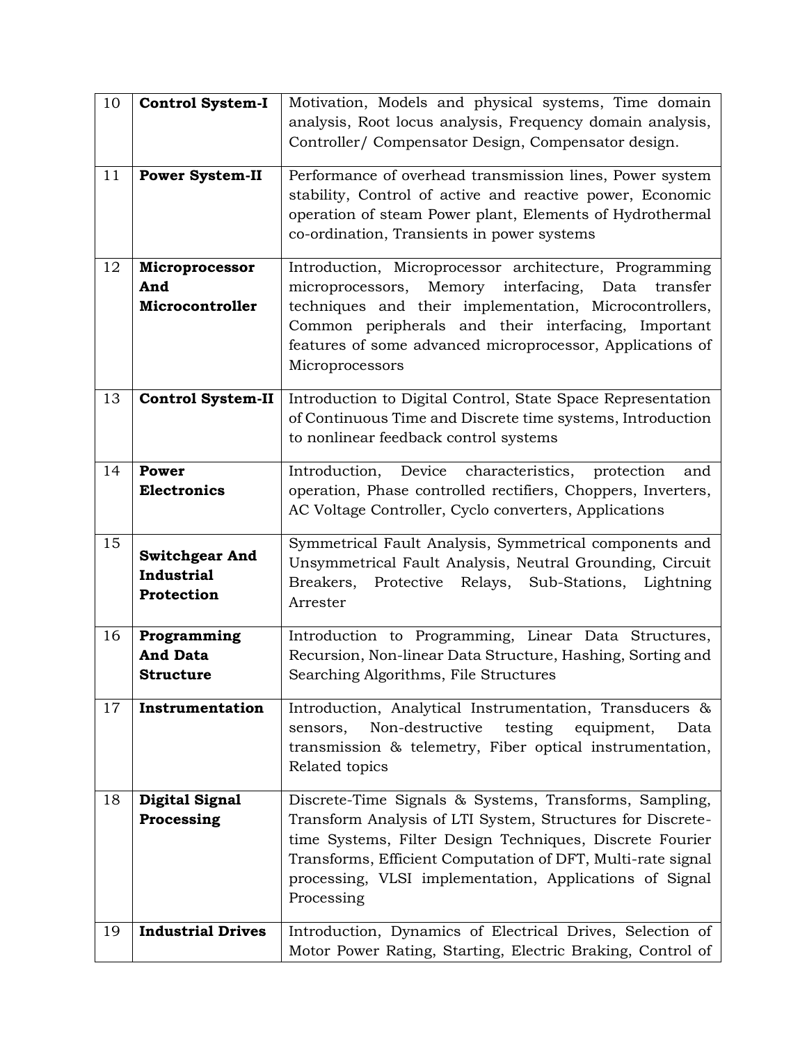| 10 | <b>Control System-I</b>                                  | Motivation, Models and physical systems, Time domain<br>analysis, Root locus analysis, Frequency domain analysis,<br>Controller/ Compensator Design, Compensator design.                                                                                                                                                 |
|----|----------------------------------------------------------|--------------------------------------------------------------------------------------------------------------------------------------------------------------------------------------------------------------------------------------------------------------------------------------------------------------------------|
| 11 | <b>Power System-II</b>                                   | Performance of overhead transmission lines, Power system<br>stability, Control of active and reactive power, Economic<br>operation of steam Power plant, Elements of Hydrothermal<br>co-ordination, Transients in power systems                                                                                          |
| 12 | Microprocessor<br>And<br>Microcontroller                 | Introduction, Microprocessor architecture, Programming<br>Memory interfacing,<br>microprocessors,<br>Data<br>transfer<br>techniques and their implementation, Microcontrollers,<br>Common peripherals and their interfacing, Important<br>features of some advanced microprocessor, Applications of<br>Microprocessors   |
| 13 | <b>Control System-II</b>                                 | Introduction to Digital Control, State Space Representation<br>of Continuous Time and Discrete time systems, Introduction<br>to nonlinear feedback control systems                                                                                                                                                       |
| 14 | Power<br><b>Electronics</b>                              | Device<br>Introduction,<br>characteristics, protection<br>and<br>operation, Phase controlled rectifiers, Choppers, Inverters,<br>AC Voltage Controller, Cyclo converters, Applications                                                                                                                                   |
| 15 | <b>Switchgear And</b><br><b>Industrial</b><br>Protection | Symmetrical Fault Analysis, Symmetrical components and<br>Unsymmetrical Fault Analysis, Neutral Grounding, Circuit<br>Breakers,<br>Protective<br>Relays,<br>Sub-Stations,<br>Lightning<br>Arrester                                                                                                                       |
| 16 | Programming<br><b>And Data</b><br><b>Structure</b>       | Introduction to Programming, Linear Data Structures,<br>Recursion, Non-linear Data Structure, Hashing, Sorting and<br>Searching Algorithms, File Structures                                                                                                                                                              |
| 17 | Instrumentation                                          | Introduction, Analytical Instrumentation, Transducers &<br>testing<br>Non-destructive<br>equipment,<br>Data<br>sensors,<br>transmission & telemetry, Fiber optical instrumentation,<br>Related topics                                                                                                                    |
| 18 | <b>Digital Signal</b><br>Processing                      | Discrete-Time Signals & Systems, Transforms, Sampling,<br>Transform Analysis of LTI System, Structures for Discrete-<br>time Systems, Filter Design Techniques, Discrete Fourier<br>Transforms, Efficient Computation of DFT, Multi-rate signal<br>processing, VLSI implementation, Applications of Signal<br>Processing |
| 19 | <b>Industrial Drives</b>                                 | Introduction, Dynamics of Electrical Drives, Selection of<br>Motor Power Rating, Starting, Electric Braking, Control of                                                                                                                                                                                                  |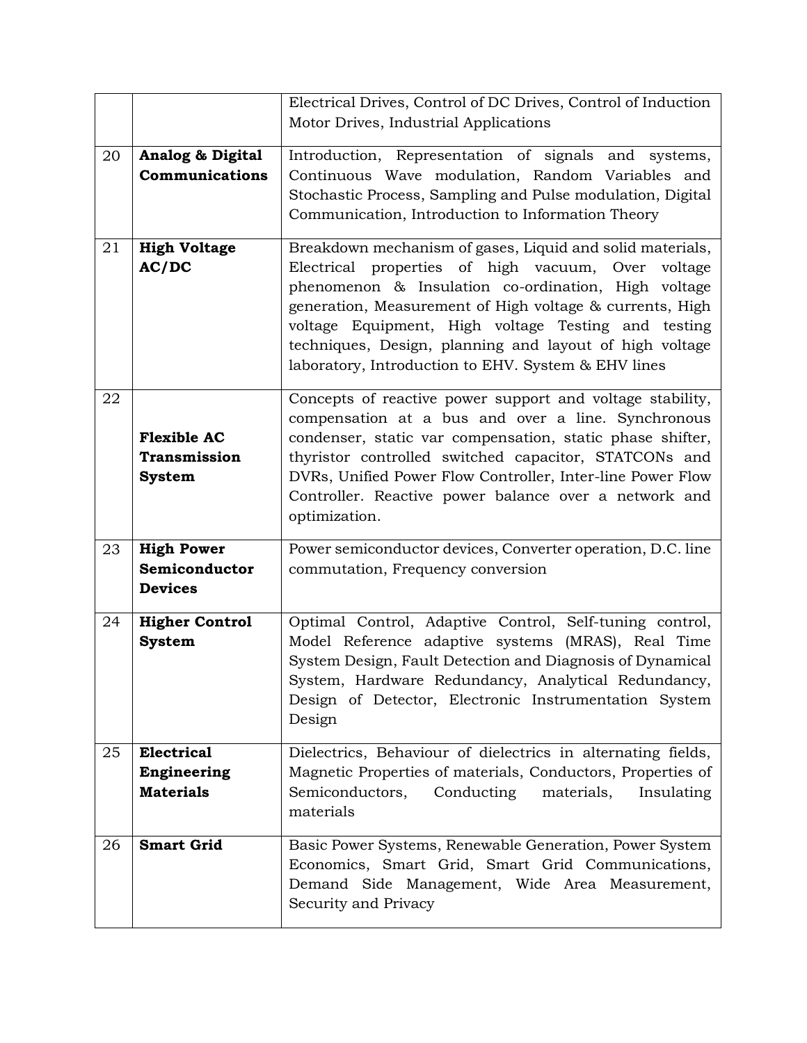|    |                       | Electrical Drives, Control of DC Drives, Control of Induction                                                      |
|----|-----------------------|--------------------------------------------------------------------------------------------------------------------|
|    |                       | Motor Drives, Industrial Applications                                                                              |
| 20 | Analog & Digital      | Introduction, Representation of signals and systems,                                                               |
|    | Communications        | Continuous Wave modulation, Random Variables and                                                                   |
|    |                       | Stochastic Process, Sampling and Pulse modulation, Digital                                                         |
|    |                       | Communication, Introduction to Information Theory                                                                  |
|    |                       |                                                                                                                    |
| 21 | <b>High Voltage</b>   | Breakdown mechanism of gases, Liquid and solid materials,                                                          |
|    | AC/DC                 | Electrical properties of high vacuum, Over<br>voltage                                                              |
|    |                       | phenomenon & Insulation co-ordination, High voltage                                                                |
|    |                       | generation, Measurement of High voltage & currents, High                                                           |
|    |                       | voltage Equipment, High voltage Testing and testing                                                                |
|    |                       | techniques, Design, planning and layout of high voltage                                                            |
|    |                       | laboratory, Introduction to EHV. System & EHV lines                                                                |
|    |                       |                                                                                                                    |
| 22 |                       | Concepts of reactive power support and voltage stability,                                                          |
|    | <b>Flexible AC</b>    | compensation at a bus and over a line. Synchronous                                                                 |
|    | <b>Transmission</b>   | condenser, static var compensation, static phase shifter,<br>thyristor controlled switched capacitor, STATCONs and |
|    |                       | DVRs, Unified Power Flow Controller, Inter-line Power Flow                                                         |
|    | <b>System</b>         | Controller. Reactive power balance over a network and                                                              |
|    |                       | optimization.                                                                                                      |
|    |                       |                                                                                                                    |
| 23 | <b>High Power</b>     | Power semiconductor devices, Converter operation, D.C. line                                                        |
|    | Semiconductor         | commutation, Frequency conversion                                                                                  |
|    | <b>Devices</b>        |                                                                                                                    |
| 24 | <b>Higher Control</b> | Optimal Control, Adaptive Control, Self-tuning control,                                                            |
|    | <b>System</b>         | Model Reference adaptive systems (MRAS), Real Time                                                                 |
|    |                       | System Design, Fault Detection and Diagnosis of Dynamical                                                          |
|    |                       | System, Hardware Redundancy, Analytical Redundancy,                                                                |
|    |                       | Design of Detector, Electronic Instrumentation System                                                              |
|    |                       | Design                                                                                                             |
|    |                       |                                                                                                                    |
| 25 | <b>Electrical</b>     | Dielectrics, Behaviour of dielectrics in alternating fields,                                                       |
|    | <b>Engineering</b>    | Magnetic Properties of materials, Conductors, Properties of                                                        |
|    | <b>Materials</b>      | Conducting<br>Semiconductors,<br>materials,<br>Insulating                                                          |
|    |                       | materials                                                                                                          |
| 26 | <b>Smart Grid</b>     | Basic Power Systems, Renewable Generation, Power System                                                            |
|    |                       | Economics, Smart Grid, Smart Grid Communications,                                                                  |
|    |                       | Demand Side Management, Wide Area Measurement,                                                                     |
|    |                       | Security and Privacy                                                                                               |
|    |                       |                                                                                                                    |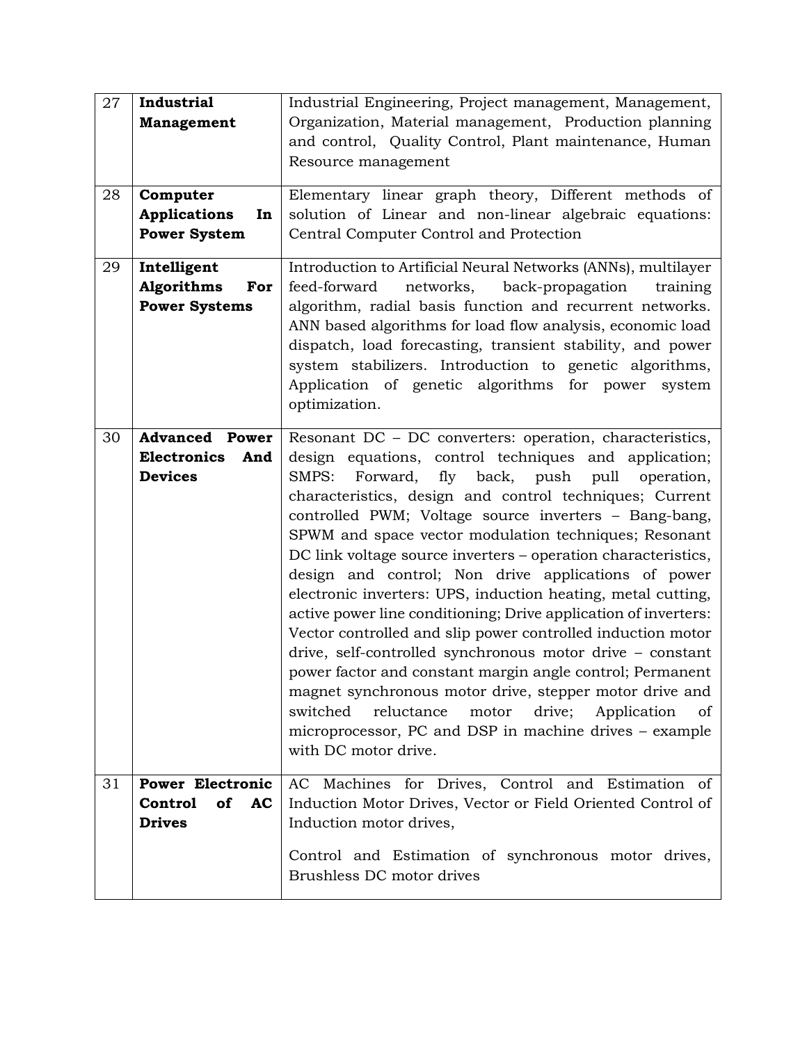| 27 | Industrial<br><b>Management</b>                                      | Industrial Engineering, Project management, Management,<br>Organization, Material management, Production planning<br>and control, Quality Control, Plant maintenance, Human<br>Resource management                                                                                                                                                                                                                                                                                                                                                                                                                                                                                                                                                                                                                                                                                                                                                                                                                               |
|----|----------------------------------------------------------------------|----------------------------------------------------------------------------------------------------------------------------------------------------------------------------------------------------------------------------------------------------------------------------------------------------------------------------------------------------------------------------------------------------------------------------------------------------------------------------------------------------------------------------------------------------------------------------------------------------------------------------------------------------------------------------------------------------------------------------------------------------------------------------------------------------------------------------------------------------------------------------------------------------------------------------------------------------------------------------------------------------------------------------------|
| 28 | Computer<br><b>Applications</b><br>In<br><b>Power System</b>         | Elementary linear graph theory, Different methods of<br>solution of Linear and non-linear algebraic equations:<br>Central Computer Control and Protection                                                                                                                                                                                                                                                                                                                                                                                                                                                                                                                                                                                                                                                                                                                                                                                                                                                                        |
| 29 | Intelligent<br>Algorithms<br>For<br><b>Power Systems</b>             | Introduction to Artificial Neural Networks (ANNs), multilayer<br>feed-forward<br>networks, back-propagation<br>training<br>algorithm, radial basis function and recurrent networks.<br>ANN based algorithms for load flow analysis, economic load<br>dispatch, load forecasting, transient stability, and power<br>system stabilizers. Introduction to genetic algorithms,<br>Application of genetic algorithms for power<br>system<br>optimization.                                                                                                                                                                                                                                                                                                                                                                                                                                                                                                                                                                             |
| 30 | <b>Advanced Power</b><br><b>Electronics</b><br>And<br><b>Devices</b> | Resonant DC - DC converters: operation, characteristics,<br>design equations, control techniques and application;<br>SMPS: Forward, fly back, push pull<br>operation,<br>characteristics, design and control techniques; Current<br>controlled PWM; Voltage source inverters - Bang-bang,<br>SPWM and space vector modulation techniques; Resonant<br>DC link voltage source inverters – operation characteristics,<br>design and control; Non drive applications of power<br>electronic inverters: UPS, induction heating, metal cutting,<br>active power line conditioning; Drive application of inverters:<br>Vector controlled and slip power controlled induction motor<br>drive, self-controlled synchronous motor drive - constant<br>power factor and constant margin angle control; Permanent<br>magnet synchronous motor drive, stepper motor drive and<br>switched<br>reluctance<br>drive;<br>motor<br>Application<br><sub>of</sub><br>microprocessor, PC and DSP in machine drives – example<br>with DC motor drive. |
| 31 | <b>Power Electronic</b><br><b>Control</b><br>of AC<br><b>Drives</b>  | AC Machines for Drives, Control and Estimation of<br>Induction Motor Drives, Vector or Field Oriented Control of<br>Induction motor drives,<br>Control and Estimation of synchronous motor drives,<br>Brushless DC motor drives                                                                                                                                                                                                                                                                                                                                                                                                                                                                                                                                                                                                                                                                                                                                                                                                  |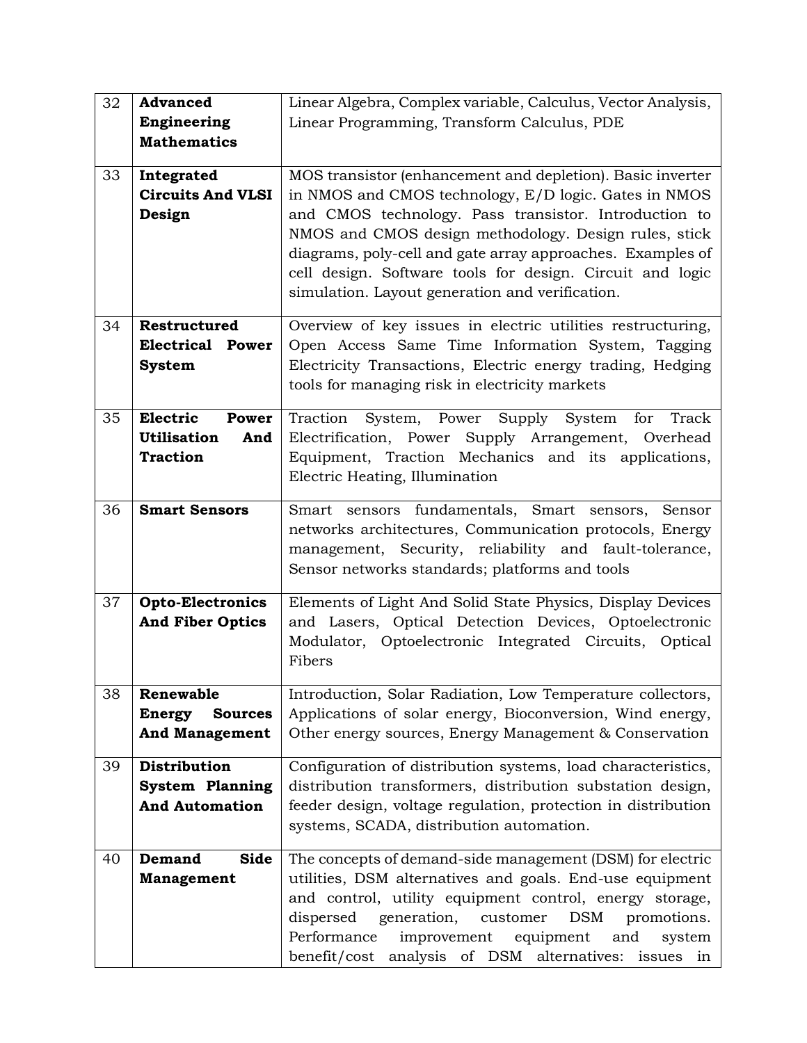| 32 | <b>Advanced</b>                 | Linear Algebra, Complex variable, Calculus, Vector Analysis,   |
|----|---------------------------------|----------------------------------------------------------------|
|    | Engineering                     | Linear Programming, Transform Calculus, PDE                    |
|    |                                 |                                                                |
|    | <b>Mathematics</b>              |                                                                |
| 33 | Integrated                      | MOS transistor (enhancement and depletion). Basic inverter     |
|    | <b>Circuits And VLSI</b>        | in NMOS and CMOS technology, E/D logic. Gates in NMOS          |
|    | Design                          | and CMOS technology. Pass transistor. Introduction to          |
|    |                                 | NMOS and CMOS design methodology. Design rules, stick          |
|    |                                 |                                                                |
|    |                                 | diagrams, poly-cell and gate array approaches. Examples of     |
|    |                                 | cell design. Software tools for design. Circuit and logic      |
|    |                                 | simulation. Layout generation and verification.                |
| 34 | Restructured                    | Overview of key issues in electric utilities restructuring,    |
|    | <b>Electrical Power</b>         | Open Access Same Time Information System, Tagging              |
|    | <b>System</b>                   | Electricity Transactions, Electric energy trading, Hedging     |
|    |                                 | tools for managing risk in electricity markets                 |
|    |                                 |                                                                |
| 35 | Electric<br><b>Power</b>        | System, Power Supply System for<br>Traction<br>Track           |
|    | <b>Utilisation</b><br>And       | Electrification, Power Supply Arrangement, Overhead            |
|    | <b>Traction</b>                 | Equipment, Traction Mechanics and its applications,            |
|    |                                 | Electric Heating, Illumination                                 |
| 36 | <b>Smart Sensors</b>            | Smart sensors fundamentals, Smart sensors, Sensor              |
|    |                                 | networks architectures, Communication protocols, Energy        |
|    |                                 | management, Security, reliability and fault-tolerance,         |
|    |                                 | Sensor networks standards; platforms and tools                 |
|    |                                 |                                                                |
| 37 | <b>Opto-Electronics</b>         | Elements of Light And Solid State Physics, Display Devices     |
|    | <b>And Fiber Optics</b>         | and Lasers, Optical Detection Devices, Optoelectronic          |
|    |                                 | Modulator, Optoelectronic Integrated Circuits, Optical         |
|    |                                 | Fibers                                                         |
| 38 | Renewable                       | Introduction, Solar Radiation, Low Temperature collectors,     |
|    | <b>Energy</b><br><b>Sources</b> | Applications of solar energy, Bioconversion, Wind energy,      |
|    | <b>And Management</b>           | Other energy sources, Energy Management & Conservation         |
| 39 | Distribution                    | Configuration of distribution systems, load characteristics,   |
|    | <b>System Planning</b>          | distribution transformers, distribution substation design,     |
|    | <b>And Automation</b>           | feeder design, voltage regulation, protection in distribution  |
|    |                                 | systems, SCADA, distribution automation.                       |
|    |                                 |                                                                |
| 40 | <b>Side</b><br>Demand           | The concepts of demand-side management (DSM) for electric      |
|    | <b>Management</b>               | utilities, DSM alternatives and goals. End-use equipment       |
|    |                                 | and control, utility equipment control, energy storage,        |
|    |                                 | dispersed<br>generation, customer<br><b>DSM</b><br>promotions. |
|    |                                 | Performance<br>improvement<br>equipment<br>and<br>system       |
|    |                                 | benefit/cost analysis of DSM alternatives: issues in           |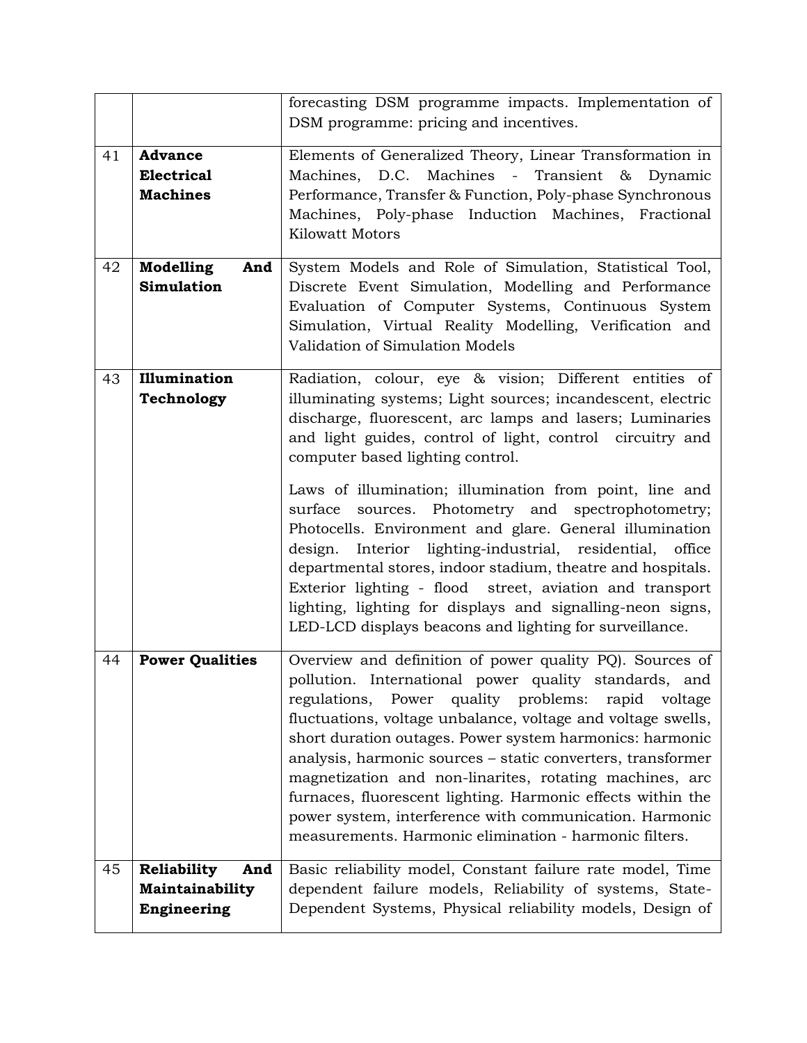|    |                                | forecasting DSM programme impacts. Implementation of                                                                     |
|----|--------------------------------|--------------------------------------------------------------------------------------------------------------------------|
|    |                                | DSM programme: pricing and incentives.                                                                                   |
| 41 | <b>Advance</b>                 | Elements of Generalized Theory, Linear Transformation in                                                                 |
|    | <b>Electrical</b>              | Machines, D.C. Machines - Transient & Dynamic                                                                            |
|    | <b>Machines</b>                | Performance, Transfer & Function, Poly-phase Synchronous                                                                 |
|    |                                | Machines, Poly-phase Induction Machines, Fractional                                                                      |
|    |                                | <b>Kilowatt Motors</b>                                                                                                   |
| 42 | Modelling<br>And               | System Models and Role of Simulation, Statistical Tool,                                                                  |
|    | <b>Simulation</b>              | Discrete Event Simulation, Modelling and Performance                                                                     |
|    |                                | Evaluation of Computer Systems, Continuous System                                                                        |
|    |                                | Simulation, Virtual Reality Modelling, Verification and                                                                  |
|    |                                | Validation of Simulation Models                                                                                          |
| 43 | Illumination                   | Radiation, colour, eye & vision; Different entities of                                                                   |
|    | Technology                     | illuminating systems; Light sources; incandescent, electric                                                              |
|    |                                | discharge, fluorescent, arc lamps and lasers; Luminaries                                                                 |
|    |                                | and light guides, control of light, control circuitry and                                                                |
|    |                                | computer based lighting control.                                                                                         |
|    |                                | Laws of illumination; illumination from point, line and                                                                  |
|    |                                | surface sources. Photometry and spectrophotometry;                                                                       |
|    |                                | Photocells. Environment and glare. General illumination                                                                  |
|    |                                | design. Interior lighting-industrial, residential, office                                                                |
|    |                                | departmental stores, indoor stadium, theatre and hospitals.                                                              |
|    |                                | Exterior lighting - flood street, aviation and transport                                                                 |
|    |                                | lighting, lighting for displays and signalling-neon signs,                                                               |
|    |                                | LED-LCD displays beacons and lighting for surveillance.                                                                  |
| 44 | <b>Power Qualities</b>         | Overview and definition of power quality PQ). Sources of                                                                 |
|    |                                | pollution. International power quality standards, and                                                                    |
|    |                                | regulations, Power quality problems:<br>rapid voltage                                                                    |
|    |                                | fluctuations, voltage unbalance, voltage and voltage swells,<br>short duration outages. Power system harmonics: harmonic |
|    |                                | analysis, harmonic sources - static converters, transformer                                                              |
|    |                                | magnetization and non-linarites, rotating machines, arc                                                                  |
|    |                                | furnaces, fluorescent lighting. Harmonic effects within the                                                              |
|    |                                | power system, interference with communication. Harmonic                                                                  |
|    |                                | measurements. Harmonic elimination - harmonic filters.                                                                   |
|    |                                |                                                                                                                          |
| 45 | Reliability<br>And             | Basic reliability model, Constant failure rate model, Time                                                               |
|    | Maintainability<br>Engineering | dependent failure models, Reliability of systems, State-<br>Dependent Systems, Physical reliability models, Design of    |
|    |                                |                                                                                                                          |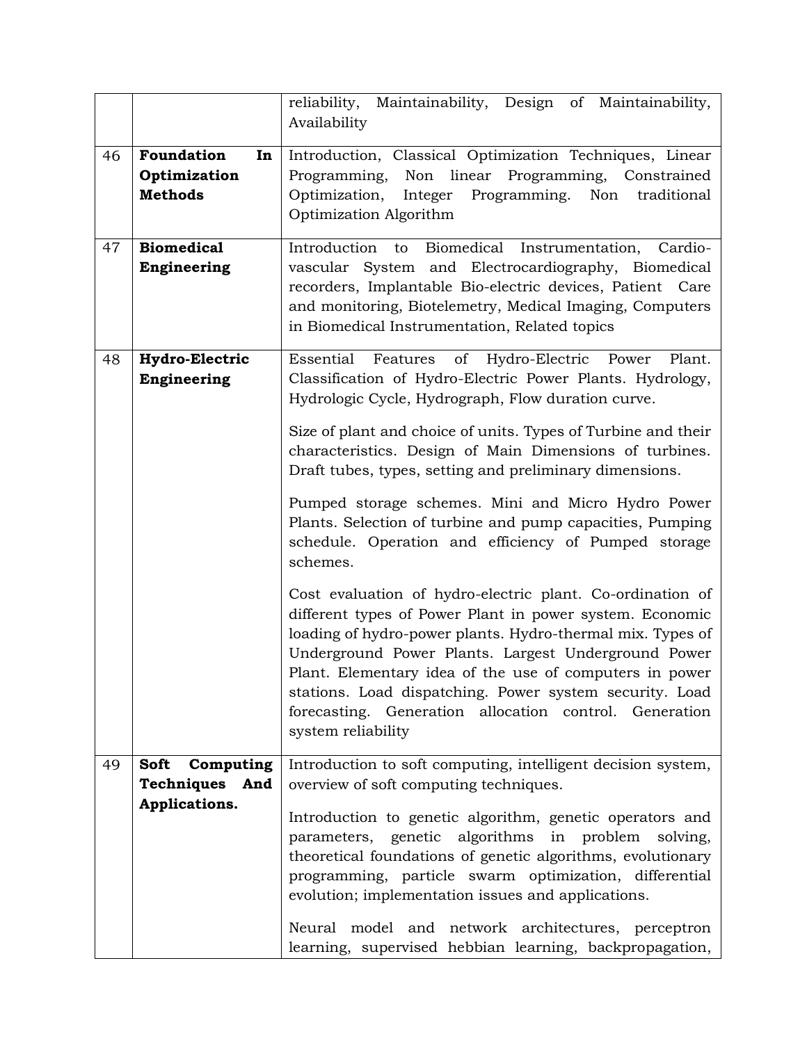|    |                       | reliability, Maintainability, Design of Maintainability,      |
|----|-----------------------|---------------------------------------------------------------|
|    |                       | Availability                                                  |
| 46 | Foundation<br>In      | Introduction, Classical Optimization Techniques, Linear       |
|    | Optimization          | Programming, Non linear Programming, Constrained              |
|    | <b>Methods</b>        | Programming. Non<br>Optimization,<br>Integer<br>traditional   |
|    |                       | Optimization Algorithm                                        |
|    |                       |                                                               |
| 47 | <b>Biomedical</b>     | Introduction to<br>Biomedical Instrumentation,<br>Cardio-     |
|    | Engineering           | vascular System and Electrocardiography, Biomedical           |
|    |                       | recorders, Implantable Bio-electric devices, Patient Care     |
|    |                       | and monitoring, Biotelemetry, Medical Imaging, Computers      |
|    |                       | in Biomedical Instrumentation, Related topics                 |
|    |                       |                                                               |
| 48 | <b>Hydro-Electric</b> | Essential Features of Hydro-Electric Power<br>Plant.          |
|    | Engineering           | Classification of Hydro-Electric Power Plants. Hydrology,     |
|    |                       | Hydrologic Cycle, Hydrograph, Flow duration curve.            |
|    |                       | Size of plant and choice of units. Types of Turbine and their |
|    |                       | characteristics. Design of Main Dimensions of turbines.       |
|    |                       | Draft tubes, types, setting and preliminary dimensions.       |
|    |                       |                                                               |
|    |                       | Pumped storage schemes. Mini and Micro Hydro Power            |
|    |                       | Plants. Selection of turbine and pump capacities, Pumping     |
|    |                       | schedule. Operation and efficiency of Pumped storage          |
|    |                       | schemes.                                                      |
|    |                       |                                                               |
|    |                       | Cost evaluation of hydro-electric plant. Co-ordination of     |
|    |                       | different types of Power Plant in power system. Economic      |
|    |                       | loading of hydro-power plants. Hydro-thermal mix. Types of    |
|    |                       |                                                               |
|    |                       | Underground Power Plants. Largest Underground Power           |
|    |                       | Plant. Elementary idea of the use of computers in power       |
|    |                       | stations. Load dispatching. Power system security. Load       |
|    |                       | forecasting. Generation allocation control. Generation        |
|    |                       | system reliability                                            |
| 49 | Soft                  | Introduction to soft computing, intelligent decision system,  |
|    | Computing             |                                                               |
|    | Techniques And        | overview of soft computing techniques.                        |
|    | Applications.         | Introduction to genetic algorithm, genetic operators and      |
|    |                       | parameters, genetic algorithms in problem solving,            |
|    |                       | theoretical foundations of genetic algorithms, evolutionary   |
|    |                       | programming, particle swarm optimization, differential        |
|    |                       | evolution; implementation issues and applications.            |
|    |                       | Neural model and network architectures, perceptron            |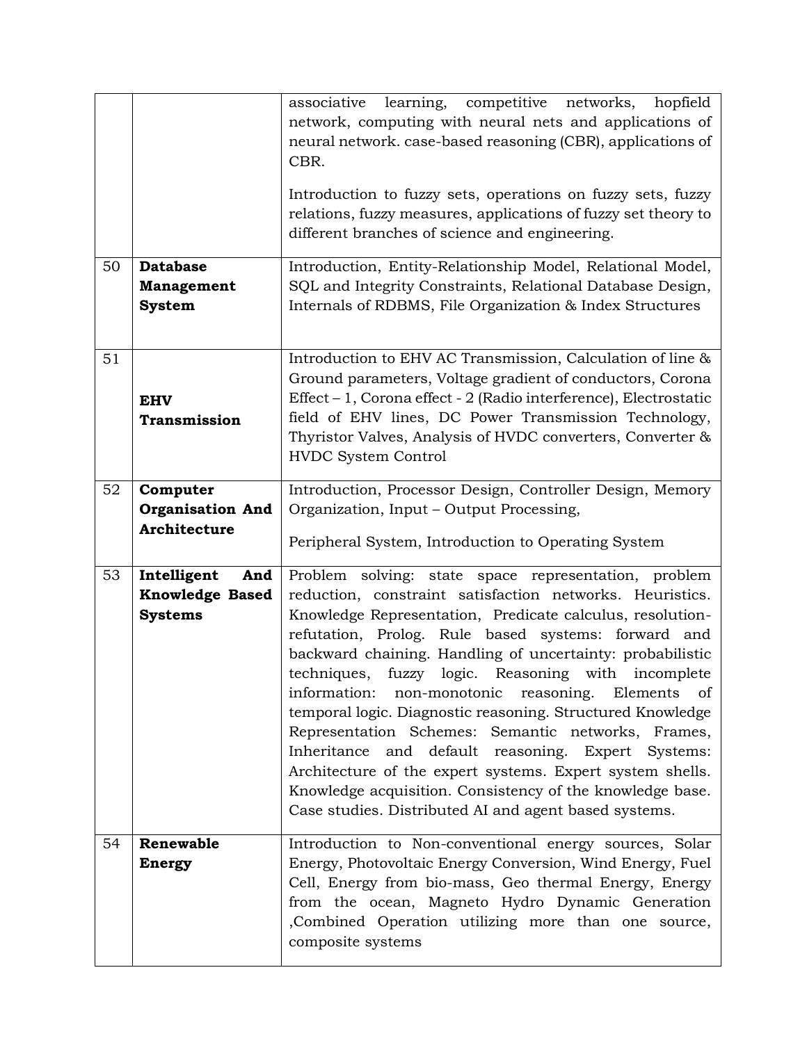|    |                         | learning, competitive networks,<br>associative<br>hopfield<br>network, computing with neural nets and applications of<br>neural network. case-based reasoning (CBR), applications of<br>CBR. |
|----|-------------------------|----------------------------------------------------------------------------------------------------------------------------------------------------------------------------------------------|
|    |                         | Introduction to fuzzy sets, operations on fuzzy sets, fuzzy<br>relations, fuzzy measures, applications of fuzzy set theory to<br>different branches of science and engineering.              |
| 50 | <b>Database</b>         | Introduction, Entity-Relationship Model, Relational Model,                                                                                                                                   |
|    | <b>Management</b>       | SQL and Integrity Constraints, Relational Database Design,                                                                                                                                   |
|    | <b>System</b>           | Internals of RDBMS, File Organization & Index Structures                                                                                                                                     |
| 51 |                         | Introduction to EHV AC Transmission, Calculation of line &                                                                                                                                   |
|    |                         | Ground parameters, Voltage gradient of conductors, Corona                                                                                                                                    |
|    | <b>EHV</b>              | Effect – 1, Corona effect - 2 (Radio interference), Electrostatic                                                                                                                            |
|    | <b>Transmission</b>     | field of EHV lines, DC Power Transmission Technology,<br>Thyristor Valves, Analysis of HVDC converters, Converter &                                                                          |
|    |                         | <b>HVDC System Control</b>                                                                                                                                                                   |
| 52 | Computer                | Introduction, Processor Design, Controller Design, Memory                                                                                                                                    |
|    | <b>Organisation And</b> | Organization, Input - Output Processing,                                                                                                                                                     |
|    | Architecture            | Peripheral System, Introduction to Operating System                                                                                                                                          |
| 53 | Intelligent<br>And      | Problem solving: state space representation, problem                                                                                                                                         |
|    | <b>Knowledge Based</b>  | reduction, constraint satisfaction networks. Heuristics.                                                                                                                                     |
|    | <b>Systems</b>          | Knowledge Representation, Predicate calculus, resolution-                                                                                                                                    |
|    |                         | refutation, Prolog. Rule based systems: forward and                                                                                                                                          |
|    |                         | backward chaining. Handling of uncertainty: probabilistic<br>techniques, fuzzy logic. Reasoning with incomplete                                                                              |
|    |                         | information: non-monotonic reasoning. Elements of                                                                                                                                            |
|    |                         | temporal logic. Diagnostic reasoning. Structured Knowledge                                                                                                                                   |
|    |                         | Representation Schemes: Semantic networks, Frames,                                                                                                                                           |
|    |                         |                                                                                                                                                                                              |
|    |                         | Inheritance<br>and default reasoning. Expert Systems:                                                                                                                                        |
|    |                         | Architecture of the expert systems. Expert system shells.                                                                                                                                    |
|    |                         | Knowledge acquisition. Consistency of the knowledge base.                                                                                                                                    |
|    |                         | Case studies. Distributed AI and agent based systems.                                                                                                                                        |
| 54 | Renewable               | Introduction to Non-conventional energy sources, Solar                                                                                                                                       |
|    | <b>Energy</b>           | Energy, Photovoltaic Energy Conversion, Wind Energy, Fuel                                                                                                                                    |
|    |                         | Cell, Energy from bio-mass, Geo thermal Energy, Energy                                                                                                                                       |
|    |                         | from the ocean, Magneto Hydro Dynamic Generation                                                                                                                                             |
|    |                         | , Combined Operation utilizing more than one source,<br>composite systems                                                                                                                    |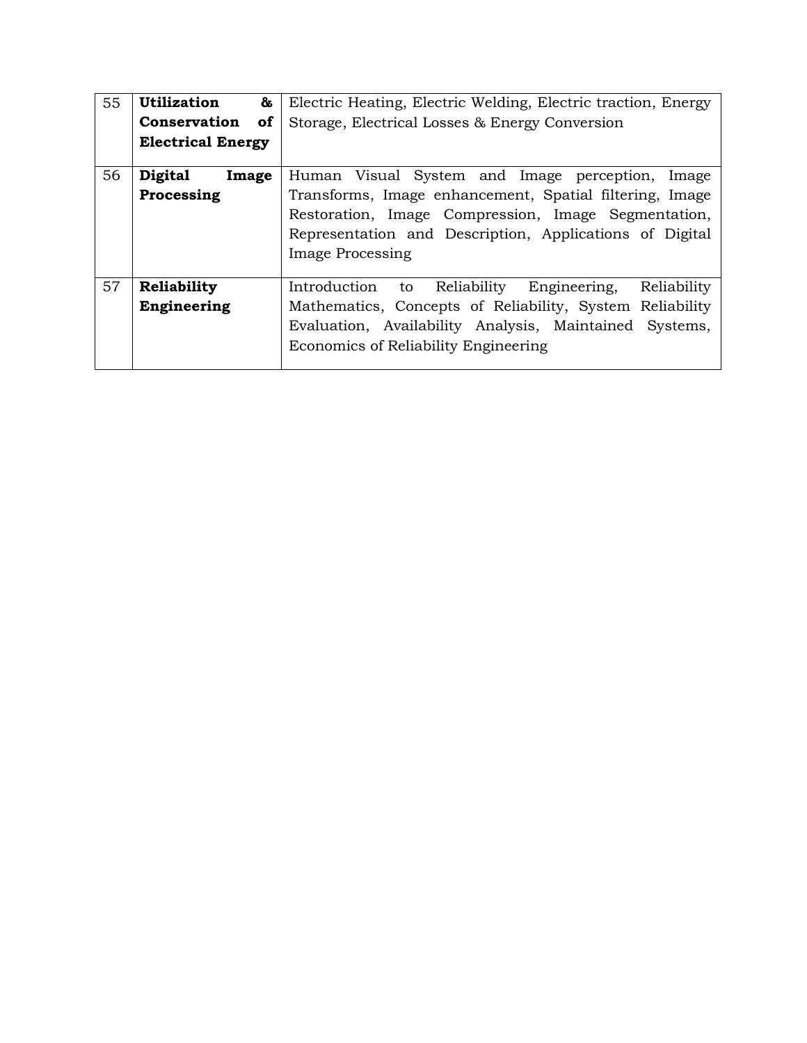| 55 | <b>Utilization</b><br>&          | Electric Heating, Electric Welding, Electric traction, Energy    |
|----|----------------------------------|------------------------------------------------------------------|
|    | <b>Conservation</b><br><b>of</b> | Storage, Electrical Losses & Energy Conversion                   |
|    | <b>Electrical Energy</b>         |                                                                  |
| 56 | <b>Digital</b><br>Image          | Human Visual System and Image perception, Image                  |
|    | Processing                       | Transforms, Image enhancement, Spatial filtering, Image          |
|    |                                  | Restoration, Image Compression, Image Segmentation,              |
|    |                                  | Representation and Description, Applications of Digital          |
|    |                                  | <b>Image Processing</b>                                          |
|    |                                  |                                                                  |
| 57 | Reliability                      | Introduction<br>Reliability<br>Engineering,<br>Reliability<br>to |
|    | Engineering                      | Mathematics, Concepts of Reliability, System Reliability         |
|    |                                  | Evaluation, Availability Analysis, Maintained Systems,           |
|    |                                  | Economics of Reliability Engineering                             |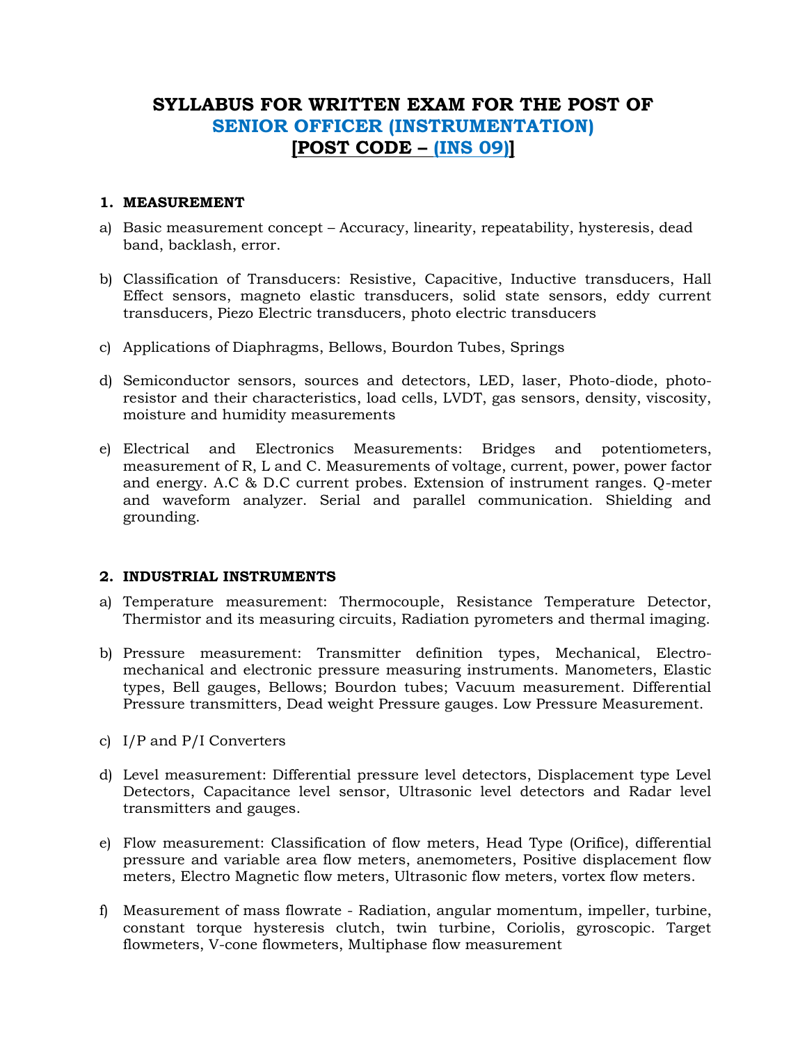## **SYLLABUS FOR WRITTEN EXAM FOR THE POST OF SENIOR OFFICER (INSTRUMENTATION) [POST CODE – (INS 09)]**

### **1. MEASUREMENT**

- a) Basic measurement concept Accuracy, linearity, repeatability, hysteresis, dead band, backlash, error.
- b) Classification of Transducers: Resistive, Capacitive, Inductive transducers, Hall Effect sensors, magneto elastic transducers, solid state sensors, eddy current transducers, Piezo Electric transducers, photo electric transducers
- c) Applications of Diaphragms, Bellows, Bourdon Tubes, Springs
- d) Semiconductor sensors, sources and detectors, LED, laser, Photo-diode, photoresistor and their characteristics, load cells, LVDT, gas sensors, density, viscosity, moisture and humidity measurements
- e) Electrical and Electronics Measurements: Bridges and potentiometers, measurement of R, L and C. Measurements of voltage, current, power, power factor and energy. A.C & D.C current probes. Extension of instrument ranges. Q-meter and waveform analyzer. Serial and parallel communication. Shielding and grounding.

## **2. INDUSTRIAL INSTRUMENTS**

- a) Temperature measurement: Thermocouple, Resistance Temperature Detector, Thermistor and its measuring circuits, Radiation pyrometers and thermal imaging.
- b) Pressure measurement: Transmitter definition types, Mechanical, Electromechanical and electronic pressure measuring instruments. Manometers, Elastic types, Bell gauges, Bellows; Bourdon tubes; Vacuum measurement. Differential Pressure transmitters, Dead weight Pressure gauges. Low Pressure Measurement.
- c) I/P and P/I Converters
- d) Level measurement: Differential pressure level detectors, Displacement type Level Detectors, Capacitance level sensor, Ultrasonic level detectors and Radar level transmitters and gauges.
- e) Flow measurement: Classification of flow meters, Head Type (Orifice), differential pressure and variable area flow meters, anemometers, Positive displacement flow meters, Electro Magnetic flow meters, Ultrasonic flow meters, vortex flow meters.
- f) Measurement of mass flowrate Radiation, angular momentum, impeller, turbine, constant torque hysteresis clutch, twin turbine, Coriolis, gyroscopic. Target flowmeters, V-cone flowmeters, Multiphase flow measurement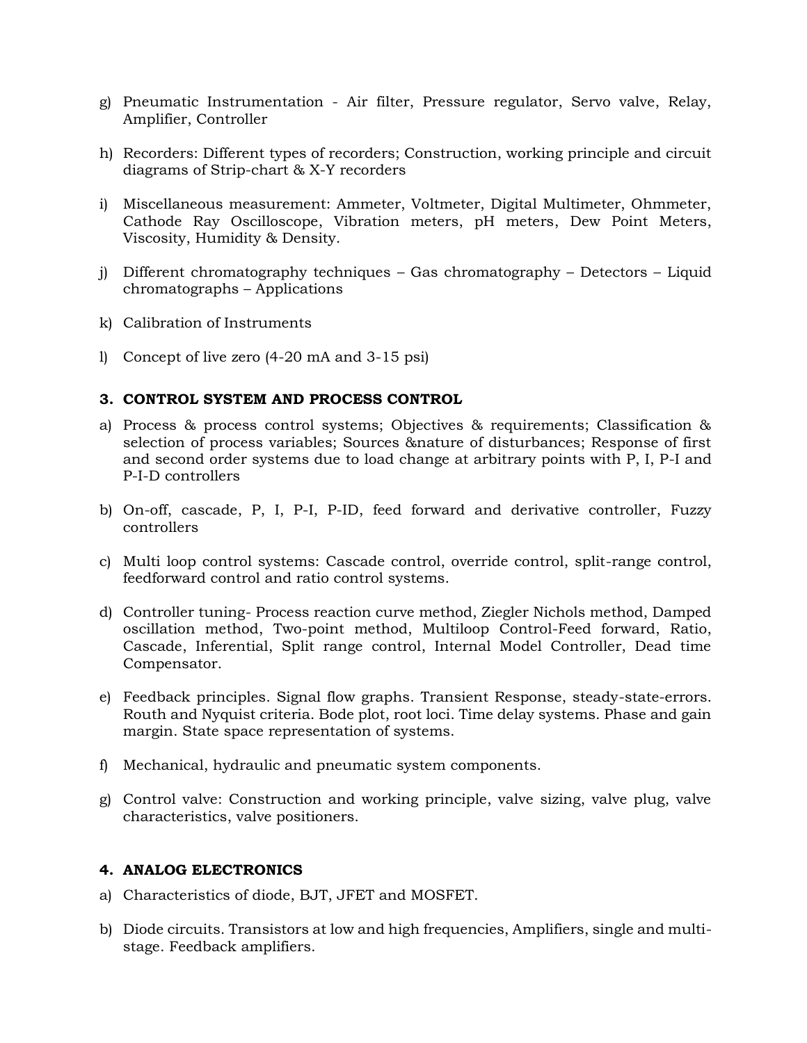- g) Pneumatic Instrumentation Air filter, Pressure regulator, Servo valve, Relay, Amplifier, Controller
- h) Recorders: Different types of recorders; Construction, working principle and circuit diagrams of Strip-chart & X-Y recorders
- i) Miscellaneous measurement: Ammeter, Voltmeter, Digital Multimeter, Ohmmeter, Cathode Ray Oscilloscope, Vibration meters, pH meters, Dew Point Meters, Viscosity, Humidity & Density.
- j) Different chromatography techniques Gas chromatography Detectors Liquid chromatographs – Applications
- k) Calibration of Instruments
- l) Concept of live zero (4-20 mA and 3-15 psi)

### **3. CONTROL SYSTEM AND PROCESS CONTROL**

- a) Process & process control systems; Objectives & requirements; Classification & selection of process variables; Sources &nature of disturbances; Response of first and second order systems due to load change at arbitrary points with P, I, P-I and P-I-D controllers
- b) On-off, cascade, P, I, P-I, P-ID, feed forward and derivative controller, Fuzzy controllers
- c) Multi loop control systems: Cascade control, override control, split-range control, feedforward control and ratio control systems.
- d) Controller tuning- Process reaction curve method, Ziegler Nichols method, Damped oscillation method, Two-point method, Multiloop Control-Feed forward, Ratio, Cascade, Inferential, Split range control, Internal Model Controller, Dead time Compensator.
- e) Feedback principles. Signal flow graphs. Transient Response, steady-state-errors. Routh and Nyquist criteria. Bode plot, root loci. Time delay systems. Phase and gain margin. State space representation of systems.
- f) Mechanical, hydraulic and pneumatic system components.
- g) Control valve: Construction and working principle, valve sizing, valve plug, valve characteristics, valve positioners.

## **4. ANALOG ELECTRONICS**

- a) Characteristics of diode, BJT, JFET and MOSFET.
- b) Diode circuits. Transistors at low and high frequencies, Amplifiers, single and multistage. Feedback amplifiers.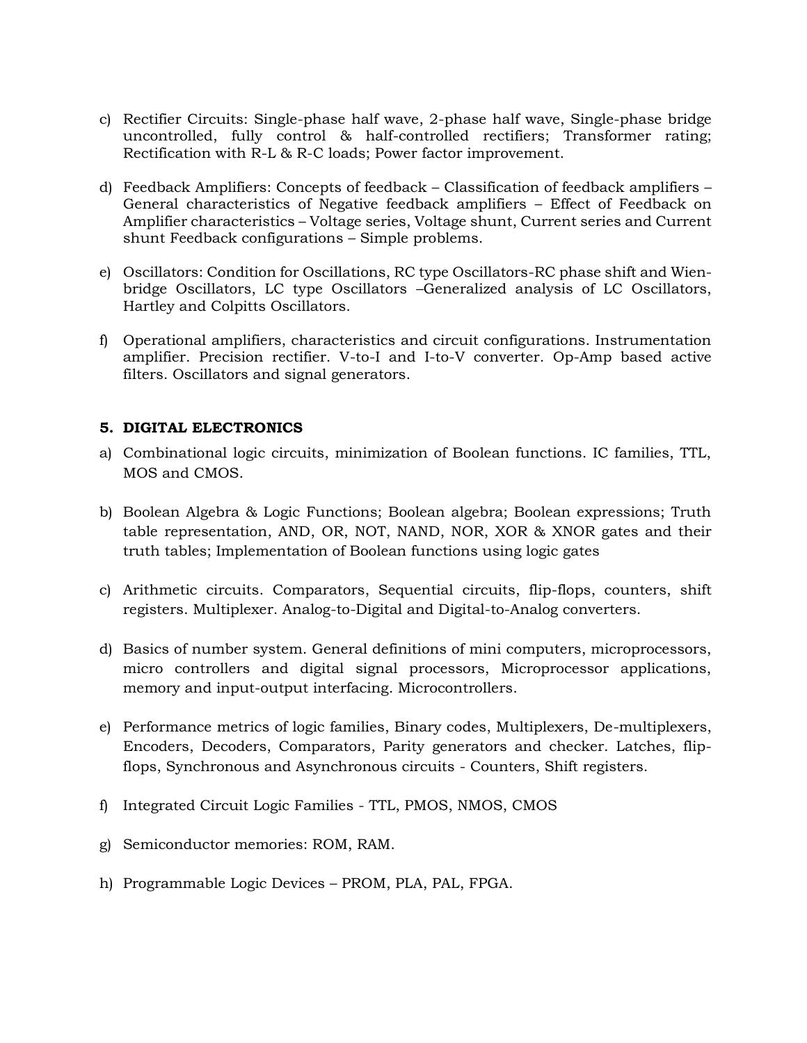- c) Rectifier Circuits: Single-phase half wave, 2-phase half wave, Single-phase bridge uncontrolled, fully control & half-controlled rectifiers; Transformer rating; Rectification with R-L & R-C loads; Power factor improvement.
- d) Feedback Amplifiers: Concepts of feedback Classification of feedback amplifiers General characteristics of Negative feedback amplifiers – Effect of Feedback on Amplifier characteristics – Voltage series, Voltage shunt, Current series and Current shunt Feedback configurations – Simple problems.
- e) Oscillators: Condition for Oscillations, RC type Oscillators-RC phase shift and Wienbridge Oscillators, LC type Oscillators –Generalized analysis of LC Oscillators, Hartley and Colpitts Oscillators.
- f) Operational amplifiers, characteristics and circuit configurations. Instrumentation amplifier. Precision rectifier. V-to-I and I-to-V converter. Op-Amp based active filters. Oscillators and signal generators.

## **5. DIGITAL ELECTRONICS**

- a) Combinational logic circuits, minimization of Boolean functions. IC families, TTL, MOS and CMOS.
- b) Boolean Algebra & Logic Functions; Boolean algebra; Boolean expressions; Truth table representation, AND, OR, NOT, NAND, NOR, XOR & XNOR gates and their truth tables; Implementation of Boolean functions using logic gates
- c) Arithmetic circuits. Comparators, Sequential circuits, flip-flops, counters, shift registers. Multiplexer. Analog-to-Digital and Digital-to-Analog converters.
- d) Basics of number system. General definitions of mini computers, microprocessors, micro controllers and digital signal processors, Microprocessor applications, memory and input-output interfacing. Microcontrollers.
- e) Performance metrics of logic families, Binary codes, Multiplexers, De-multiplexers, Encoders, Decoders, Comparators, Parity generators and checker. Latches, flipflops, Synchronous and Asynchronous circuits - Counters, Shift registers.
- f) Integrated Circuit Logic Families TTL, PMOS, NMOS, CMOS
- g) Semiconductor memories: ROM, RAM.
- h) Programmable Logic Devices PROM, PLA, PAL, FPGA.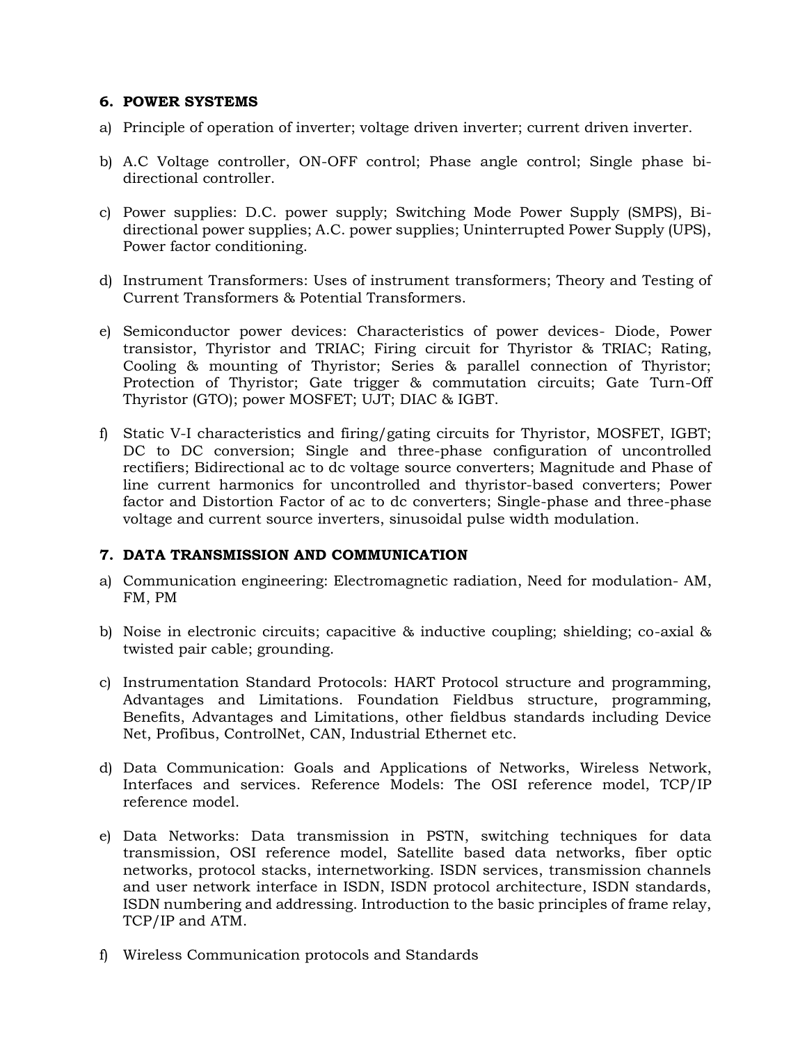### **6. POWER SYSTEMS**

- a) Principle of operation of inverter; voltage driven inverter; current driven inverter.
- b) A.C Voltage controller, ON-OFF control; Phase angle control; Single phase bidirectional controller.
- c) Power supplies: D.C. power supply; Switching Mode Power Supply (SMPS), Bidirectional power supplies; A.C. power supplies; Uninterrupted Power Supply (UPS), Power factor conditioning.
- d) Instrument Transformers: Uses of instrument transformers; Theory and Testing of Current Transformers & Potential Transformers.
- e) Semiconductor power devices: Characteristics of power devices- Diode, Power transistor, Thyristor and TRIAC; Firing circuit for Thyristor & TRIAC; Rating, Cooling & mounting of Thyristor; Series & parallel connection of Thyristor; Protection of Thyristor; Gate trigger & commutation circuits; Gate Turn-Off Thyristor (GTO); power MOSFET; UJT; DIAC & IGBT.
- f) Static V-I characteristics and firing/gating circuits for Thyristor, MOSFET, IGBT; DC to DC conversion; Single and three-phase configuration of uncontrolled rectifiers; Bidirectional ac to dc voltage source converters; Magnitude and Phase of line current harmonics for uncontrolled and thyristor-based converters; Power factor and Distortion Factor of ac to dc converters; Single-phase and three-phase voltage and current source inverters, sinusoidal pulse width modulation.

## **7. DATA TRANSMISSION AND COMMUNICATION**

- a) Communication engineering: Electromagnetic radiation, Need for modulation- AM, FM, PM
- b) Noise in electronic circuits; capacitive & inductive coupling; shielding; co-axial & twisted pair cable; grounding.
- c) Instrumentation Standard Protocols: HART Protocol structure and programming, Advantages and Limitations. Foundation Fieldbus structure, programming, Benefits, Advantages and Limitations, other fieldbus standards including Device Net, Profibus, ControlNet, CAN, Industrial Ethernet etc.
- d) Data Communication: Goals and Applications of Networks, Wireless Network, Interfaces and services. Reference Models: The OSI reference model, TCP/IP reference model.
- e) Data Networks: Data transmission in PSTN, switching techniques for data transmission, OSI reference model, Satellite based data networks, fiber optic networks, protocol stacks, internetworking. ISDN services, transmission channels and user network interface in ISDN, ISDN protocol architecture, ISDN standards, ISDN numbering and addressing. Introduction to the basic principles of frame relay, TCP/IP and ATM.
- f) Wireless Communication protocols and Standards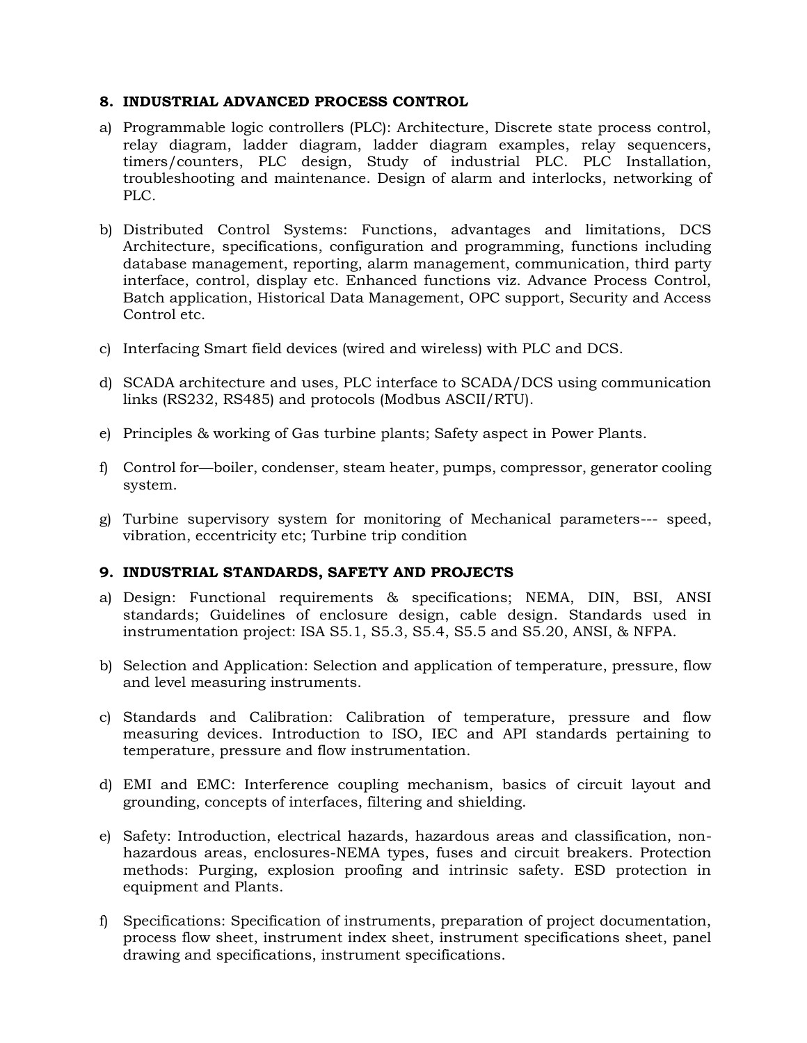### **8. INDUSTRIAL ADVANCED PROCESS CONTROL**

- a) Programmable logic controllers (PLC): Architecture, Discrete state process control, relay diagram, ladder diagram, ladder diagram examples, relay sequencers, timers/counters, PLC design, Study of industrial PLC. PLC Installation, troubleshooting and maintenance. Design of alarm and interlocks, networking of PLC.
- b) Distributed Control Systems: Functions, advantages and limitations, DCS Architecture, specifications, configuration and programming, functions including database management, reporting, alarm management, communication, third party interface, control, display etc. Enhanced functions viz. Advance Process Control, Batch application, Historical Data Management, OPC support, Security and Access Control etc.
- c) Interfacing Smart field devices (wired and wireless) with PLC and DCS.
- d) SCADA architecture and uses, PLC interface to SCADA/DCS using communication links (RS232, RS485) and protocols (Modbus ASCII/RTU).
- e) Principles & working of Gas turbine plants; Safety aspect in Power Plants.
- f) Control for—boiler, condenser, steam heater, pumps, compressor, generator cooling system.
- g) Turbine supervisory system for monitoring of Mechanical parameters--- speed, vibration, eccentricity etc; Turbine trip condition

## **9. INDUSTRIAL STANDARDS, SAFETY AND PROJECTS**

- a) Design: Functional requirements & specifications; NEMA, DIN, BSI, ANSI standards; Guidelines of enclosure design, cable design. Standards used in instrumentation project: ISA S5.1, S5.3, S5.4, S5.5 and S5.20, ANSI, & NFPA.
- b) Selection and Application: Selection and application of temperature, pressure, flow and level measuring instruments.
- c) Standards and Calibration: Calibration of temperature, pressure and flow measuring devices. Introduction to ISO, IEC and API standards pertaining to temperature, pressure and flow instrumentation.
- d) EMI and EMC: Interference coupling mechanism, basics of circuit layout and grounding, concepts of interfaces, filtering and shielding.
- e) Safety: Introduction, electrical hazards, hazardous areas and classification, nonhazardous areas, enclosures-NEMA types, fuses and circuit breakers. Protection methods: Purging, explosion proofing and intrinsic safety. ESD protection in equipment and Plants.
- f) Specifications: Specification of instruments, preparation of project documentation, process flow sheet, instrument index sheet, instrument specifications sheet, panel drawing and specifications, instrument specifications.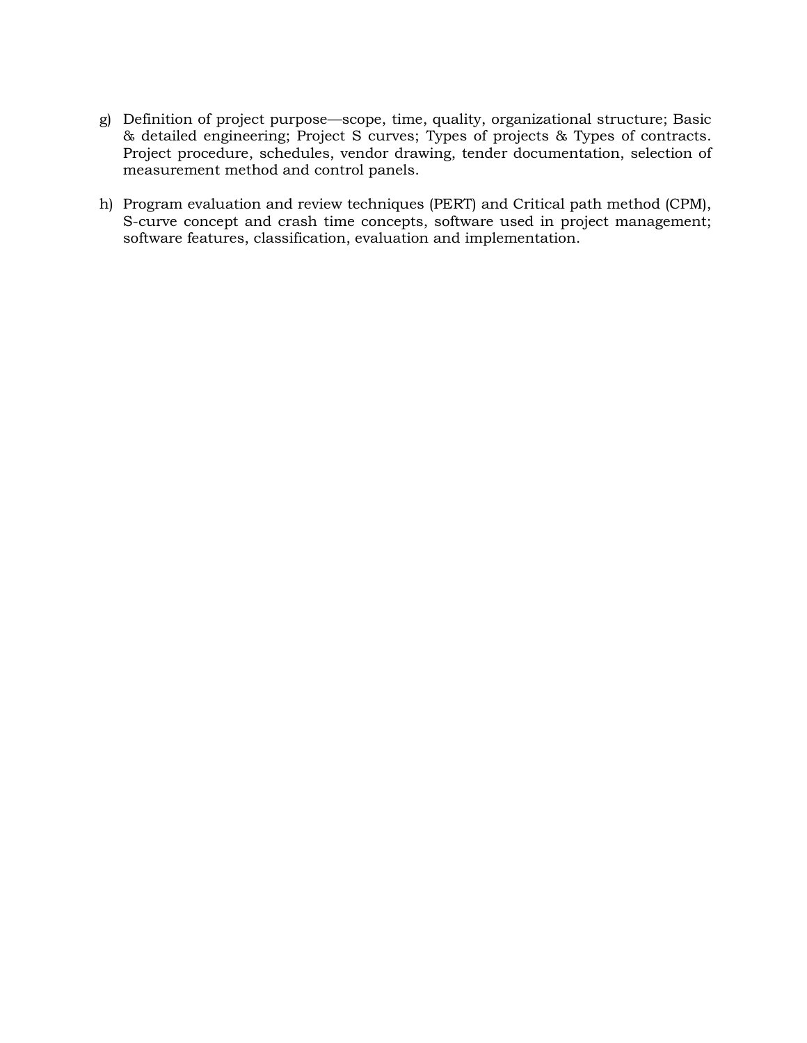- g) Definition of project purpose—scope, time, quality, organizational structure; Basic & detailed engineering; Project S curves; Types of projects & Types of contracts. Project procedure, schedules, vendor drawing, tender documentation, selection of measurement method and control panels.
- h) Program evaluation and review techniques (PERT) and Critical path method (CPM), S-curve concept and crash time concepts, software used in project management; software features, classification, evaluation and implementation.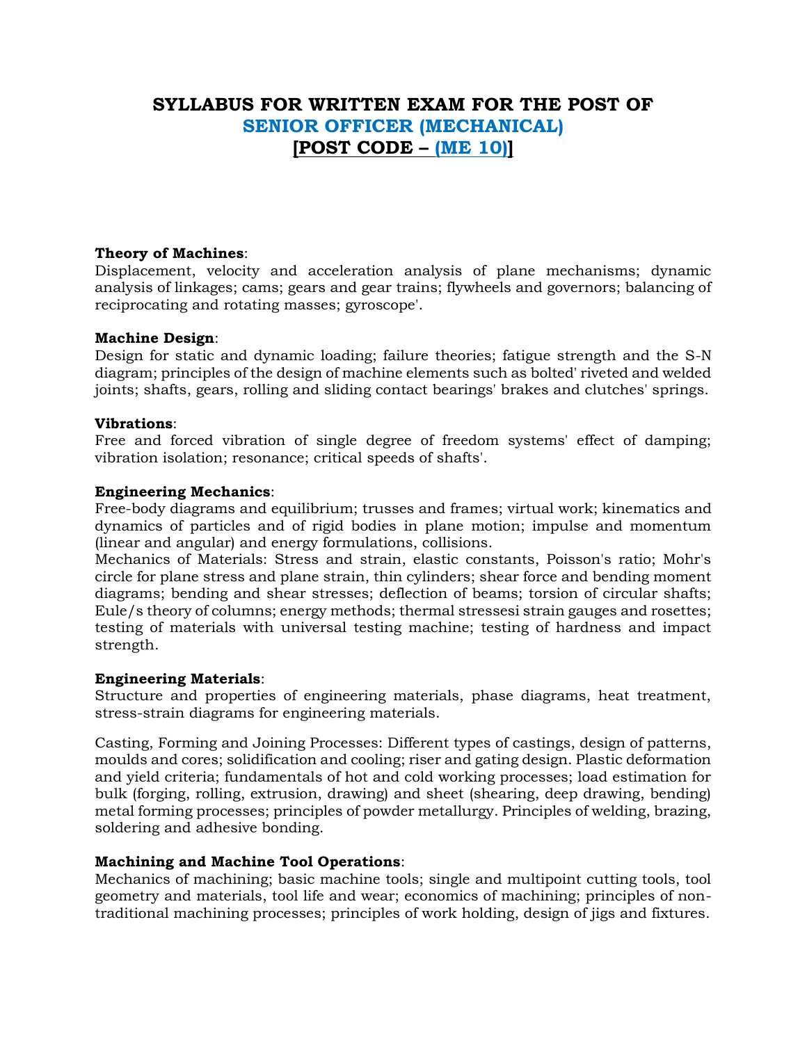## **SYLLABUS FOR WRITTEN EXAM FOR THE POST OF SENIOR OFFICER (MECHANICAL) [POST CODE – (ME 10)]**

### **Theory of Machines**:

Displacement, velocity and acceleration analysis of plane mechanisms; dynamic analysis of linkages; cams; gears and gear trains; flywheels and governors; balancing of reciprocating and rotating masses; gyroscope'.

#### **Machine Design**:

Design for static and dynamic loading; failure theories; fatigue strength and the S-N diagram; principles of the design of machine elements such as bolted' riveted and welded joints; shafts, gears, rolling and sliding contact bearings' brakes and clutches' springs.

#### **Vibrations**:

Free and forced vibration of single degree of freedom systems' effect of damping; vibration isolation; resonance; critical speeds of shafts'.

#### **Engineering Mechanics**:

Free-body diagrams and equilibrium; trusses and frames; virtual work; kinematics and dynamics of particles and of rigid bodies in plane motion; impulse and momentum (linear and angular) and energy formulations, collisions.

Mechanics of Materials: Stress and strain, elastic constants, Poisson's ratio; Mohr's circle for plane stress and plane strain, thin cylinders; shear force and bending moment diagrams; bending and shear stresses; deflection of beams; torsion of circular shafts; Eule/s theory of columns; energy methods; thermal stressesi strain gauges and rosettes; testing of materials with universal testing machine; testing of hardness and impact strength.

#### **Engineering Materials**:

Structure and properties of engineering materials, phase diagrams, heat treatment, stress-strain diagrams for engineering materials.

Casting, Forming and Joining Processes: Different types of castings, design of patterns, moulds and cores; solidification and cooling; riser and gating design. Plastic deformation and yield criteria; fundamentals of hot and cold working processes; load estimation for bulk (forging, rolling, extrusion, drawing) and sheet (shearing, deep drawing, bending) metal forming processes; principles of powder metallurgy. Principles of welding, brazing, soldering and adhesive bonding.

#### **Machining and Machine Tool Operations**:

Mechanics of machining; basic machine tools; single and multipoint cutting tools, tool geometry and materials, tool life and wear; economics of machining; principles of nontraditional machining processes; principles of work holding, design of jigs and fixtures.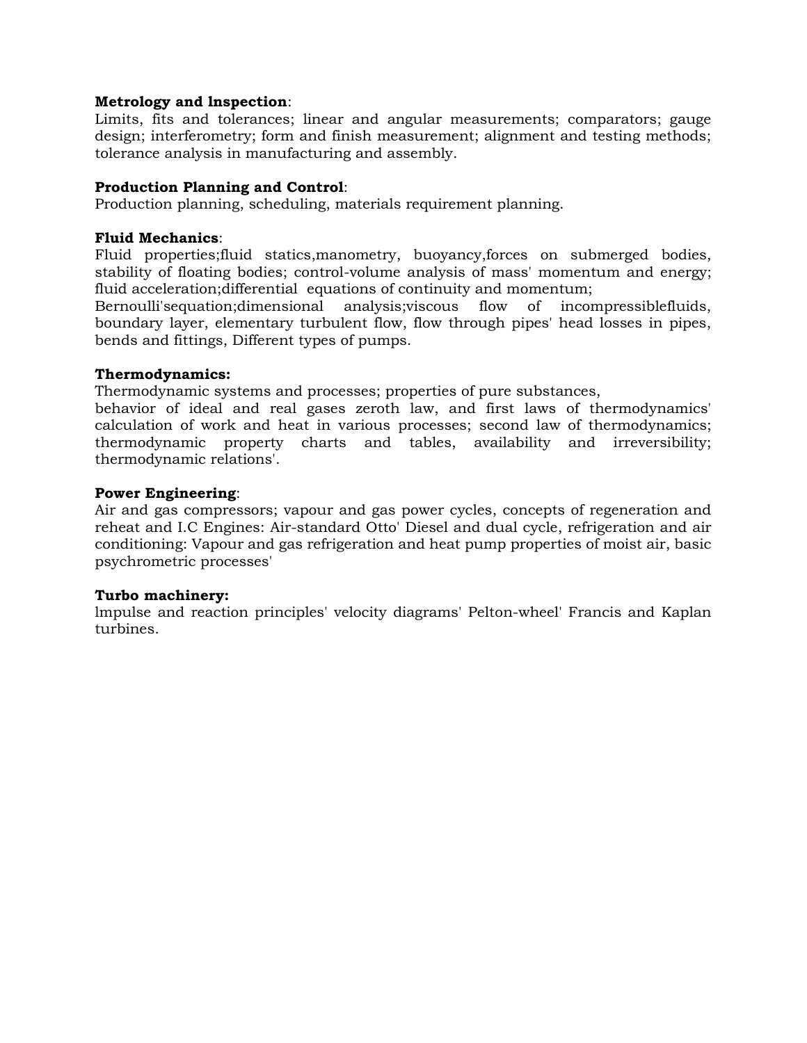### **Metrology and lnspection**:

Limits, fits and tolerances; linear and angular measurements; comparators; gauge design; interferometry; form and finish measurement; alignment and testing methods; tolerance analysis in manufacturing and assembly.

#### **Production Planning and Control**:

Production planning, scheduling, materials requirement planning.

### **Fluid Mechanics**:

Fluid properties;fluid statics,manometry, buoyancy,forces on submerged bodies, stability of floating bodies; control-volume analysis of mass' momentum and energy; fluid acceleration;differential equations of continuity and momentum;

Bernoulli'sequation;dimensional analysis;viscous flow of incompressiblefluids, boundary layer, elementary turbulent flow, flow through pipes' head losses in pipes, bends and fittings, Different types of pumps.

#### **Thermodynamics:**

Thermodynamic systems and processes; properties of pure substances,

behavior of ideal and real gases zeroth law, and first laws of thermodynamics' calculation of work and heat in various processes; second law of thermodynamics; thermodynamic property charts and tables, availability and irreversibility; thermodynamic relations'.

### **Power Engineering**:

Air and gas compressors; vapour and gas power cycles, concepts of regeneration and reheat and I.C Engines: Air-standard Otto' Diesel and dual cycle, refrigeration and air conditioning: Vapour and gas refrigeration and heat pump properties of moist air, basic psychrometric processes'

#### **Turbo machinery:**

lmpulse and reaction principles' velocity diagrams' Pelton-wheel' Francis and Kaplan turbines.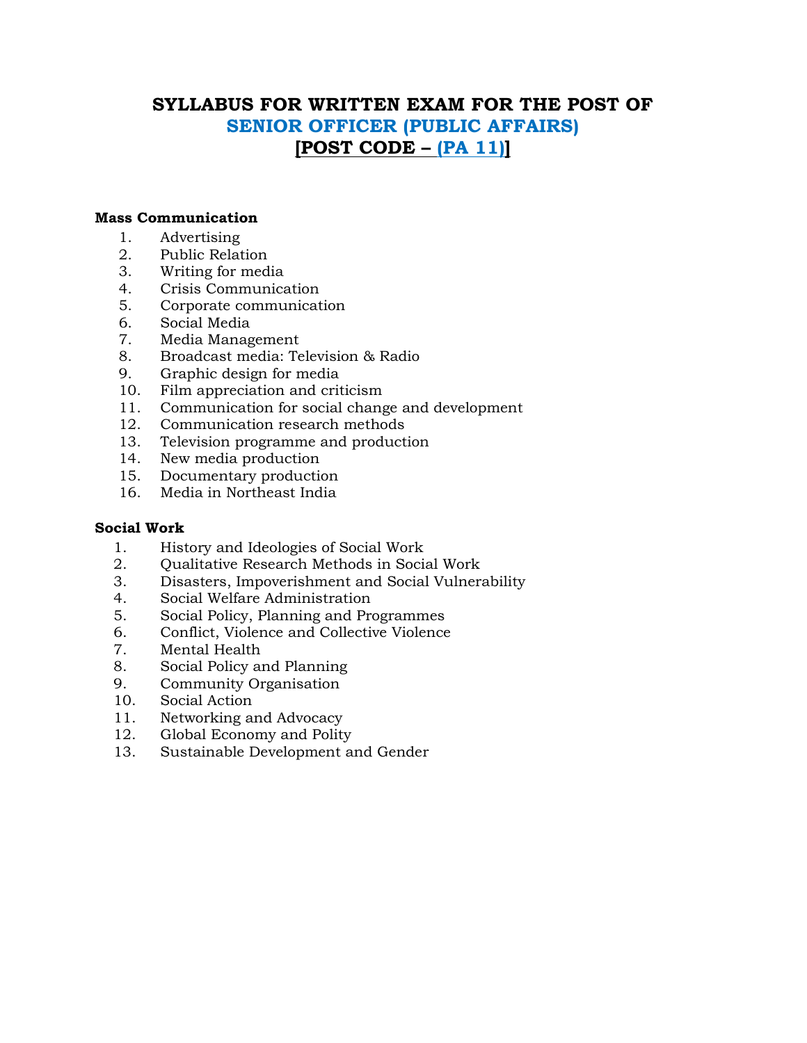# **SYLLABUS FOR WRITTEN EXAM FOR THE POST OF SENIOR OFFICER (PUBLIC AFFAIRS) [POST CODE – (PA 11)]**

#### **Mass Communication**

- 1. Advertising
- 2. Public Relation
- 3. Writing for media
- 4. Crisis Communication
- 5. Corporate communication
- 6. Social Media
- 7. Media Management
- 8. Broadcast media: Television & Radio
- 9. Graphic design for media
- 10. Film appreciation and criticism
- 11. Communication for social change and development
- 12. Communication research methods
- 13. Television programme and production
- 14. New media production
- 15. Documentary production
- 16. Media in Northeast India

## **Social Work**

- 1. History and Ideologies of Social Work
- 2. Qualitative Research Methods in Social Work
- 3. Disasters, Impoverishment and Social Vulnerability
- 4. Social Welfare Administration
- 5. Social Policy, Planning and Programmes
- 6. Conflict, Violence and Collective Violence
- 7. Mental Health
- 8. Social Policy and Planning
- 9. Community Organisation
- 10. Social Action
- 11. Networking and Advocacy
- 12. Global Economy and Polity
- 13. Sustainable Development and Gender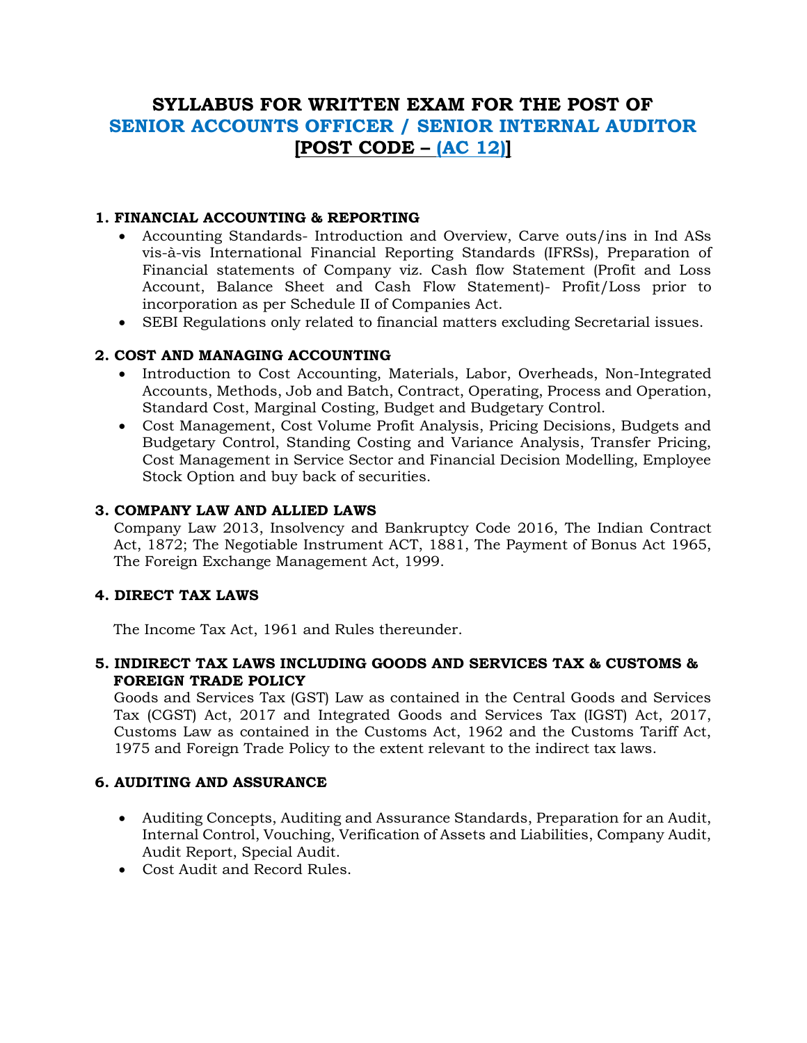# **SYLLABUS FOR WRITTEN EXAM FOR THE POST OF SENIOR ACCOUNTS OFFICER / SENIOR INTERNAL AUDITOR [POST CODE – (AC 12)]**

## **1. FINANCIAL ACCOUNTING & REPORTING**

- Accounting Standards- Introduction and Overview, Carve outs/ins in Ind ASs vis-à-vis International Financial Reporting Standards (IFRSs), Preparation of Financial statements of Company viz. Cash flow Statement (Profit and Loss Account, Balance Sheet and Cash Flow Statement)- Profit/Loss prior to incorporation as per Schedule II of Companies Act.
- SEBI Regulations only related to financial matters excluding Secretarial issues.

## **2. COST AND MANAGING ACCOUNTING**

- Introduction to Cost Accounting, Materials, Labor, Overheads, Non-Integrated Accounts, Methods, Job and Batch, Contract, Operating, Process and Operation, Standard Cost, Marginal Costing, Budget and Budgetary Control.
- Cost Management, Cost Volume Profit Analysis, Pricing Decisions, Budgets and Budgetary Control, Standing Costing and Variance Analysis, Transfer Pricing, Cost Management in Service Sector and Financial Decision Modelling, Employee Stock Option and buy back of securities.

## **3. COMPANY LAW AND ALLIED LAWS**

Company Law 2013, Insolvency and Bankruptcy Code 2016, The Indian Contract Act, 1872; The Negotiable Instrument ACT, 1881, The Payment of Bonus Act 1965, The Foreign Exchange Management Act, 1999.

## **4. DIRECT TAX LAWS**

The Income Tax Act, 1961 and Rules thereunder.

## **5. INDIRECT TAX LAWS INCLUDING GOODS AND SERVICES TAX & CUSTOMS & FOREIGN TRADE POLICY**

Goods and Services Tax (GST) Law as contained in the Central Goods and Services Tax (CGST) Act, 2017 and Integrated Goods and Services Tax (IGST) Act, 2017, Customs Law as contained in the Customs Act, 1962 and the Customs Tariff Act, 1975 and Foreign Trade Policy to the extent relevant to the indirect tax laws.

## **6. AUDITING AND ASSURANCE**

- Auditing Concepts, Auditing and Assurance Standards, Preparation for an Audit, Internal Control, Vouching, Verification of Assets and Liabilities, Company Audit, Audit Report, Special Audit.
- Cost Audit and Record Rules.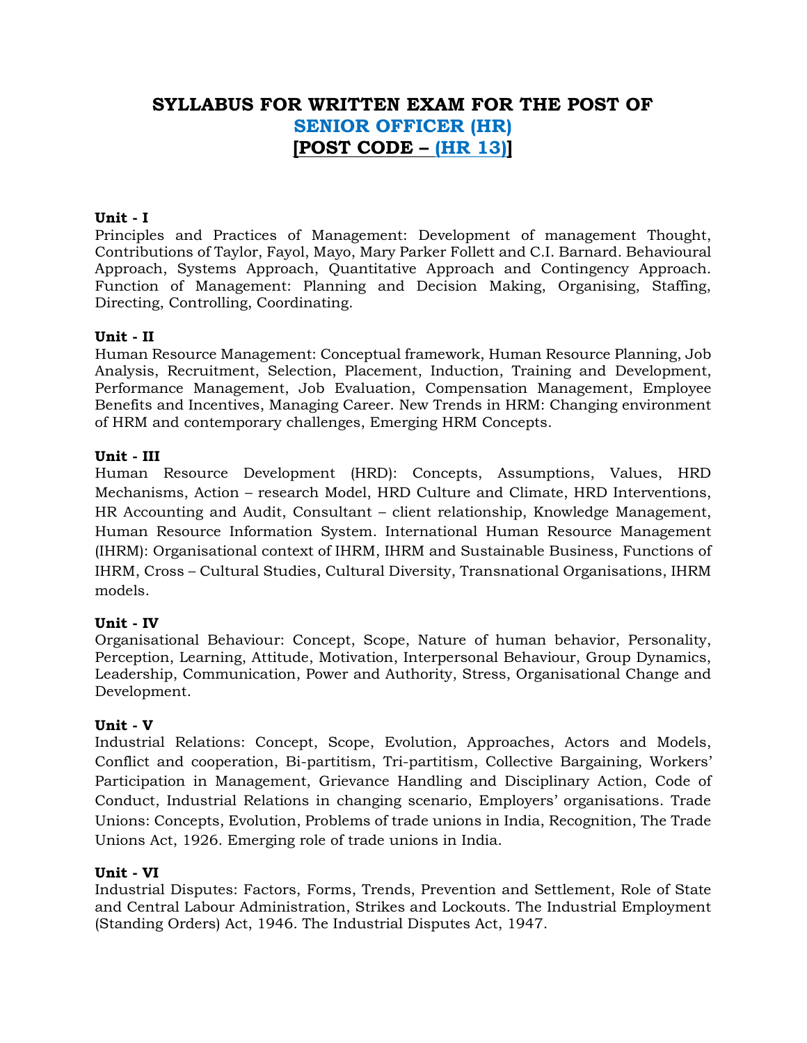## **SYLLABUS FOR WRITTEN EXAM FOR THE POST OF SENIOR OFFICER (HR) [POST CODE – (HR 13)]**

## **Unit - I**

Principles and Practices of Management: Development of management Thought, Contributions of Taylor, Fayol, Mayo, Mary Parker Follett and C.I. Barnard. Behavioural Approach, Systems Approach, Quantitative Approach and Contingency Approach. Function of Management: Planning and Decision Making, Organising, Staffing, Directing, Controlling, Coordinating.

## **Unit - II**

Human Resource Management: Conceptual framework, Human Resource Planning, Job Analysis, Recruitment, Selection, Placement, Induction, Training and Development, Performance Management, Job Evaluation, Compensation Management, Employee Benefits and Incentives, Managing Career. New Trends in HRM: Changing environment of HRM and contemporary challenges, Emerging HRM Concepts.

### **Unit - III**

Human Resource Development (HRD): Concepts, Assumptions, Values, HRD Mechanisms, Action – research Model, HRD Culture and Climate, HRD Interventions, HR Accounting and Audit, Consultant – client relationship, Knowledge Management, Human Resource Information System. International Human Resource Management (IHRM): Organisational context of IHRM, IHRM and Sustainable Business, Functions of IHRM, Cross – Cultural Studies, Cultural Diversity, Transnational Organisations, IHRM models.

## **Unit - IV**

Organisational Behaviour: Concept, Scope, Nature of human behavior, Personality, Perception, Learning, Attitude, Motivation, Interpersonal Behaviour, Group Dynamics, Leadership, Communication, Power and Authority, Stress, Organisational Change and Development.

#### **Unit - V**

Industrial Relations: Concept, Scope, Evolution, Approaches, Actors and Models, Conflict and cooperation, Bi-partitism, Tri-partitism, Collective Bargaining, Workers' Participation in Management, Grievance Handling and Disciplinary Action, Code of Conduct, Industrial Relations in changing scenario, Employers' organisations. Trade Unions: Concepts, Evolution, Problems of trade unions in India, Recognition, The Trade Unions Act, 1926. Emerging role of trade unions in India.

#### **Unit - VI**

Industrial Disputes: Factors, Forms, Trends, Prevention and Settlement, Role of State and Central Labour Administration, Strikes and Lockouts. The Industrial Employment (Standing Orders) Act, 1946. The Industrial Disputes Act, 1947.